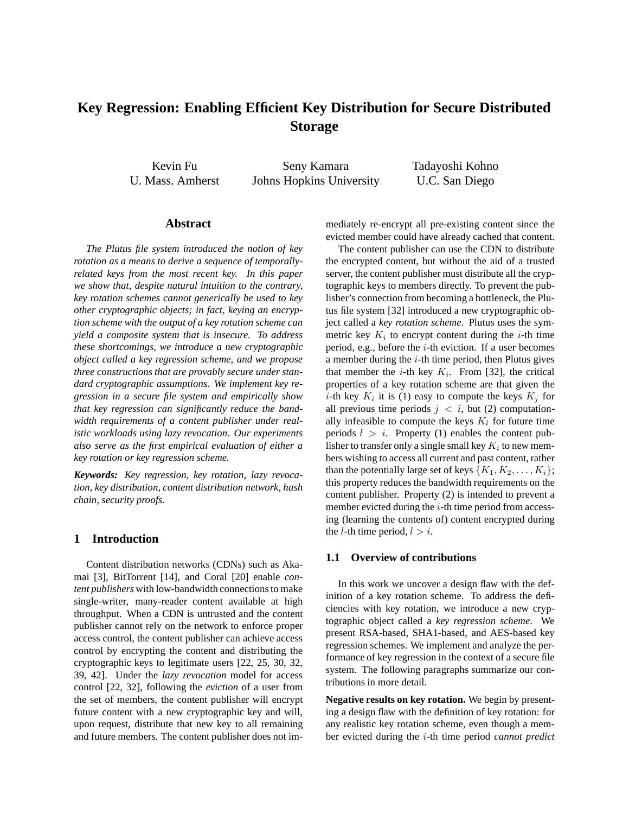# **Key Regression: Enabling Efficient Key Distribution for Secure Distributed Storage**

Kevin Fu U. Mass. Amherst

Seny Kamara Johns Hopkins University Tadayoshi Kohno U.C. San Diego

# **Abstract**

*The Plutus file system introduced the notion of key rotation as a means to derive a sequence of temporallyrelated keys from the most recent key. In this paper we show that, despite natural intuition to the contrary, key rotation schemes cannot generically be used to key other cryptographic objects; in fact, keying an encryption scheme with the output of a key rotation scheme can yield a composite system that is insecure. To address these shortcomings, we introduce a new cryptographic object called a key regression scheme, and we propose three constructions that are provably secure under standard cryptographic assumptions. We implement key regression in a secure file system and empirically show that key regression can significantly reduce the bandwidth requirements of a content publisher under realistic workloads using lazy revocation. Our experiments also serve as the first empirical evaluation of either a key rotation or key regression scheme.*

*Keywords: Key regression, key rotation, lazy revocation, key distribution, content distribution network, hash chain, security proofs.*

# **1 Introduction**

Content distribution networks (CDNs) such as Akamai [3], BitTorrent [14], and Coral [20] enable *content publishers* with low-bandwidth connections to make single-writer, many-reader content available at high throughput. When a CDN is untrusted and the content publisher cannot rely on the network to enforce proper access control, the content publisher can achieve access control by encrypting the content and distributing the cryptographic keys to legitimate users [22, 25, 30, 32, 39, 42]. Under the *lazy revocation* model for access control [22, 32], following the *eviction* of a user from the set of members, the content publisher will encrypt future content with a new cryptographic key and will, upon request, distribute that new key to all remaining and future members. The content publisher does not immediately re-encrypt all pre-existing content since the evicted member could have already cached that content.

The content publisher can use the CDN to distribute the encrypted content, but without the aid of a trusted server, the content publisher must distribute all the cryptographic keys to members directly. To prevent the publisher's connection from becoming a bottleneck, the Plutus file system [32] introduced a new cryptographic object called a *key rotation scheme*. Plutus uses the symmetric key  $K_i$  to encrypt content during the *i*-th time period, e.g., before the  $i$ -th eviction. If a user becomes a member during the  $i$ -th time period, then Plutus gives that member the *i*-th key  $K_i$ . From [32], the critical properties of a key rotation scheme are that given the *i*-th key  $K_i$  it is (1) easy to compute the keys  $K_j$  for all previous time periods  $j \lt i$ , but (2) computationally infeasible to compute the keys  $K_l$  for future time periods  $l > i$ . Property (1) enables the content publisher to transfer only a single small key  $K_i$  to new members wishing to access all current and past content, rather than the potentially large set of keys  $\{K_1, K_2, \ldots, K_i\}$ ; this property reduces the bandwidth requirements on the content publisher. Property (2) is intended to prevent a member evicted during the  $i$ -th time period from accessing (learning the contents of) content encrypted during the *l*-th time period,  $l > i$ .

#### **1.1 Overview of contributions**

In this work we uncover a design flaw with the definition of a key rotation scheme. To address the deficiencies with key rotation, we introduce a new cryptographic object called a *key regression scheme*. We present RSA-based, SHA1-based, and AES-based key regression schemes. We implement and analyze the performance of key regression in the context of a secure file system. The following paragraphs summarize our contributions in more detail.

**Negative results on key rotation.** We begin by presenting a design flaw with the definition of key rotation: for any realistic key rotation scheme, even though a member evicted during the i-th time period *cannot predict*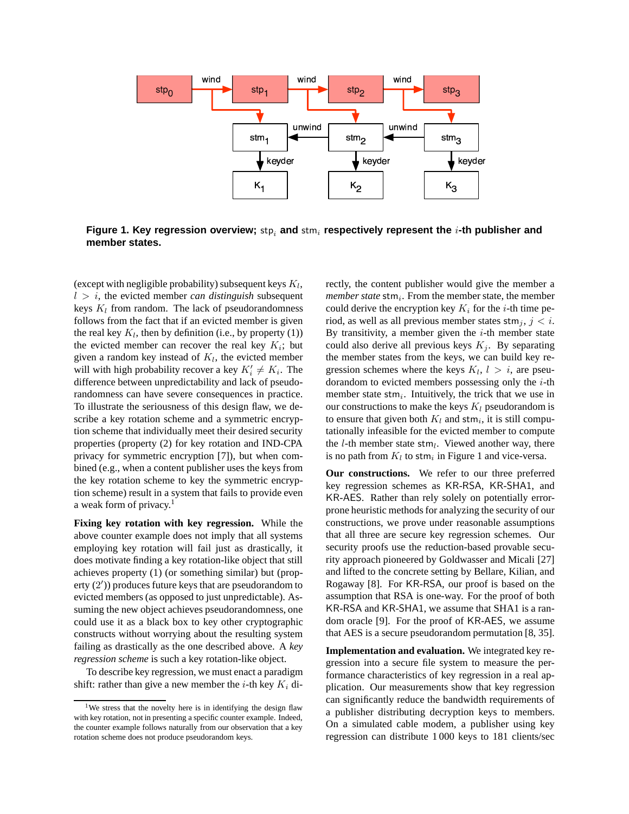

**Figure 1. Key regression overview;** stp<sub>i</sub> and stm<sub>i</sub> respectively represent the *i*-th publisher and **member states.**

(except with negligible probability) subsequent keys  $K_l$ ,  $l > i$ , the evicted member *can distinguish* subsequent keys  $K_l$  from random. The lack of pseudorandomness follows from the fact that if an evicted member is given the real key  $K_l$ , then by definition (i.e., by property (1)) the evicted member can recover the real key  $K_i$ ; but given a random key instead of  $K_l$ , the evicted member will with high probability recover a key  $K'_i \neq K_i$ . The difference between unpredictability and lack of pseudorandomness can have severe consequences in practice. To illustrate the seriousness of this design flaw, we describe a key rotation scheme and a symmetric encryption scheme that individually meet their desired security properties (property (2) for key rotation and IND-CPA privacy for symmetric encryption [7]), but when combined (e.g., when a content publisher uses the keys from the key rotation scheme to key the symmetric encryption scheme) result in a system that fails to provide even a weak form of privacy.<sup>1</sup>

**Fixing key rotation with key regression.** While the above counter example does not imply that all systems employing key rotation will fail just as drastically, it does motivate finding a key rotation-like object that still achieves property (1) (or something similar) but (property (2')) produces future keys that are pseudorandom to evicted members (as opposed to just unpredictable). Assuming the new object achieves pseudorandomness, one could use it as a black box to key other cryptographic constructs without worrying about the resulting system failing as drastically as the one described above. A *key regression scheme* is such a key rotation-like object.

To describe key regression, we must enact a paradigm shift: rather than give a new member the *i*-th key  $K_i$  directly, the content publisher would give the member a *member state* stm<sub>i</sub>. From the member state, the member could derive the encryption key  $K_i$  for the *i*-th time period, as well as all previous member states  $\text{stm}_i$ ,  $j < i$ . By transitivity, a member given the  $i$ -th member state could also derive all previous keys  $K_i$ . By separating the member states from the keys, we can build key regression schemes where the keys  $K_l$ ,  $l > i$ , are pseudorandom to evicted members possessing only the  $i$ -th member state  $strn_i$ . Intuitively, the trick that we use in our constructions to make the keys  $K_l$  pseudorandom is to ensure that given both  $K_l$  and stm<sub>i</sub>, it is still computationally infeasible for the evicted member to compute the  $l$ -th member state stm<sub>l</sub>. Viewed another way, there is no path from  $K_l$  to stm<sub>i</sub> in Figure 1 and vice-versa.

**Our constructions.** We refer to our three preferred key regression schemes as KR-RSA, KR-SHA1, and KR-AES. Rather than rely solely on potentially errorprone heuristic methods for analyzing the security of our constructions, we prove under reasonable assumptions that all three are secure key regression schemes. Our security proofs use the reduction-based provable security approach pioneered by Goldwasser and Micali [27] and lifted to the concrete setting by Bellare, Kilian, and Rogaway [8]. For KR-RSA, our proof is based on the assumption that RSA is one-way. For the proof of both KR-RSA and KR-SHA1, we assume that SHA1 is a random oracle [9]. For the proof of KR-AES, we assume that AES is a secure pseudorandom permutation [8, 35].

**Implementation and evaluation.** We integrated key regression into a secure file system to measure the performance characteristics of key regression in a real application. Our measurements show that key regression can significantly reduce the bandwidth requirements of a publisher distributing decryption keys to members. On a simulated cable modem, a publisher using key regression can distribute 1 000 keys to 181 clients/sec

<sup>&</sup>lt;sup>1</sup>We stress that the novelty here is in identifying the design flaw with key rotation, not in presenting a specific counter example. Indeed, the counter example follows naturally from our observation that a key rotation scheme does not produce pseudorandom keys.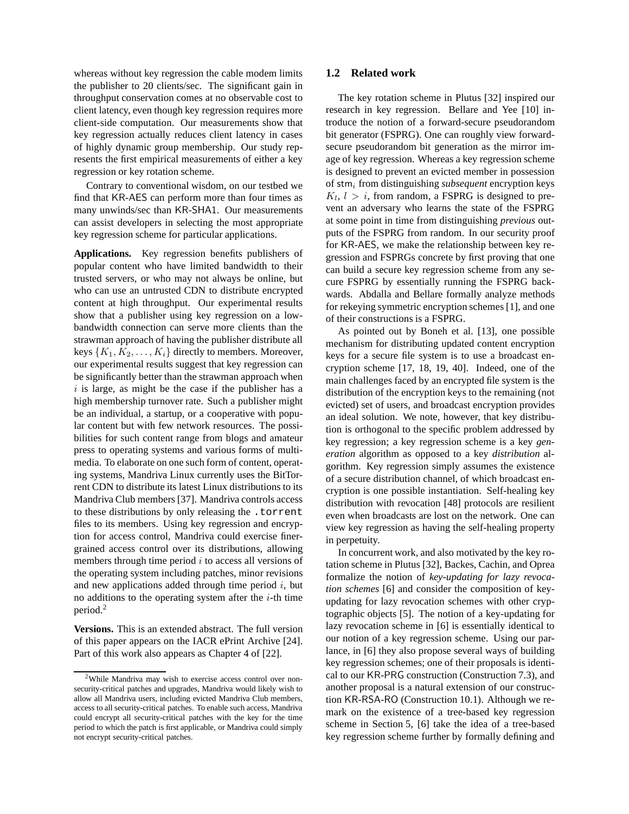whereas without key regression the cable modem limits the publisher to 20 clients/sec. The significant gain in throughput conservation comes at no observable cost to client latency, even though key regression requires more client-side computation. Our measurements show that key regression actually reduces client latency in cases of highly dynamic group membership. Our study represents the first empirical measurements of either a key regression or key rotation scheme.

Contrary to conventional wisdom, on our testbed we find that KR-AES can perform more than four times as many unwinds/sec than KR-SHA1. Our measurements can assist developers in selecting the most appropriate key regression scheme for particular applications.

**Applications.** Key regression benefits publishers of popular content who have limited bandwidth to their trusted servers, or who may not always be online, but who can use an untrusted CDN to distribute encrypted content at high throughput. Our experimental results show that a publisher using key regression on a lowbandwidth connection can serve more clients than the strawman approach of having the publisher distribute all keys  $\{K_1, K_2, \ldots, K_i\}$  directly to members. Moreover, our experimental results suggest that key regression can be significantly better than the strawman approach when  $i$  is large, as might be the case if the publisher has a high membership turnover rate. Such a publisher might be an individual, a startup, or a cooperative with popular content but with few network resources. The possibilities for such content range from blogs and amateur press to operating systems and various forms of multimedia. To elaborate on one such form of content, operating systems, Mandriva Linux currently uses the BitTorrent CDN to distribute its latest Linux distributions to its Mandriva Club members [37]. Mandriva controls access to these distributions by only releasing the .torrent files to its members. Using key regression and encryption for access control, Mandriva could exercise finergrained access control over its distributions, allowing members through time period  $i$  to access all versions of the operating system including patches, minor revisions and new applications added through time period  $i$ , but no additions to the operating system after the  $i$ -th time period.<sup>2</sup>

**Versions.** This is an extended abstract. The full version of this paper appears on the IACR ePrint Archive [24]. Part of this work also appears as Chapter 4 of [22].

# **1.2 Related work**

The key rotation scheme in Plutus [32] inspired our research in key regression. Bellare and Yee [10] introduce the notion of a forward-secure pseudorandom bit generator (FSPRG). One can roughly view forwardsecure pseudorandom bit generation as the mirror image of key regression. Whereas a key regression scheme is designed to prevent an evicted member in possession of stm<sup>i</sup> from distinguishing *subsequent* encryption keys  $K_l$ ,  $l > i$ , from random, a FSPRG is designed to prevent an adversary who learns the state of the FSPRG at some point in time from distinguishing *previous* outputs of the FSPRG from random. In our security proof for KR-AES, we make the relationship between key regression and FSPRGs concrete by first proving that one can build a secure key regression scheme from any secure FSPRG by essentially running the FSPRG backwards. Abdalla and Bellare formally analyze methods for rekeying symmetric encryption schemes [1], and one of their constructions is a FSPRG.

As pointed out by Boneh et al. [13], one possible mechanism for distributing updated content encryption keys for a secure file system is to use a broadcast encryption scheme [17, 18, 19, 40]. Indeed, one of the main challenges faced by an encrypted file system is the distribution of the encryption keys to the remaining (not evicted) set of users, and broadcast encryption provides an ideal solution. We note, however, that key distribution is orthogonal to the specific problem addressed by key regression; a key regression scheme is a key *generation* algorithm as opposed to a key *distribution* algorithm. Key regression simply assumes the existence of a secure distribution channel, of which broadcast encryption is one possible instantiation. Self-healing key distribution with revocation [48] protocols are resilient even when broadcasts are lost on the network. One can view key regression as having the self-healing property in perpetuity.

In concurrent work, and also motivated by the key rotation scheme in Plutus [32], Backes, Cachin, and Oprea formalize the notion of *key-updating for lazy revocation schemes* [6] and consider the composition of keyupdating for lazy revocation schemes with other cryptographic objects [5]. The notion of a key-updating for lazy revocation scheme in [6] is essentially identical to our notion of a key regression scheme. Using our parlance, in [6] they also propose several ways of building key regression schemes; one of their proposals is identical to our KR-PRG construction (Construction 7.3), and another proposal is a natural extension of our construction KR-RSA-RO (Construction 10.1). Although we remark on the existence of a tree-based key regression scheme in Section 5, [6] take the idea of a tree-based key regression scheme further by formally defining and

 $2$ While Mandriva may wish to exercise access control over nonsecurity-critical patches and upgrades, Mandriva would likely wish to allow all Mandriva users, including evicted Mandriva Club members, access to all security-critical patches. To enable such access, Mandriva could encrypt all security-critical patches with the key for the time period to which the patch is first applicable, or Mandriva could simply not encrypt security-critical patches.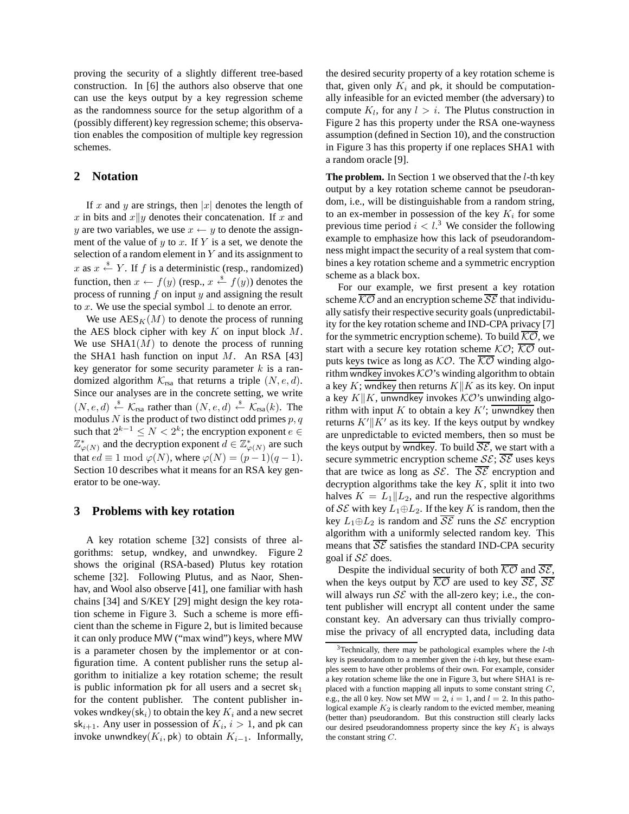proving the security of a slightly different tree-based construction. In [6] the authors also observe that one can use the keys output by a key regression scheme as the randomness source for the setup algorithm of a (possibly different) key regression scheme; this observation enables the composition of multiple key regression schemes.

# **2 Notation**

If x and y are strings, then |x| denotes the length of x in bits and  $x||y$  denotes their concatenation. If x and y are two variables, we use  $x \leftarrow y$  to denote the assignment of the value of  $y$  to  $x$ . If  $Y$  is a set, we denote the selection of a random element in  $Y$  and its assignment to x as  $x \stackrel{\text{*}}{\leftarrow} Y$ . If f is a deterministic (resp., randomized) function, then  $x \leftarrow f(y)$  (resp.,  $x \stackrel{\$}{\leftarrow} f(y)$ ) denotes the process of running  $f$  on input  $y$  and assigning the result to x. We use the special symbol  $\perp$  to denote an error.

We use  $\text{AES}_K(M)$  to denote the process of running the AES block cipher with key  $K$  on input block  $M$ . We use  $SHA1(M)$  to denote the process of running the SHA1 hash function on input  $M$ . An RSA [43] key generator for some security parameter  $k$  is a randomized algorithm  $\mathcal{K}_{\text{rsa}}$  that returns a triple  $(N, e, d)$ . Since our analyses are in the concrete setting, we write  $(N, e, d) \stackrel{\$}{\leftarrow} \mathcal{K}_{\text{rsa}}$  rather than  $(N, e, d) \stackrel{\$}{\leftarrow} \mathcal{K}_{\text{rsa}}(k)$ . The modulus  $N$  is the product of two distinct odd primes  $p, q$ such that  $2^{k-1} \leq N < 2^k$ ; the encryption exponent  $e \in$  $\mathbb{Z}_{\varphi(N)}^*$  and the decryption exponent  $d \in \mathbb{Z}_{\varphi(N)}^*$  are such that  $ed \equiv 1 \mod \varphi(N)$ , where  $\varphi(N) = (p-1)(q-1)$ . Section 10 describes what it means for an RSA key generator to be one-way.

# **3 Problems with key rotation**

A key rotation scheme [32] consists of three algorithms: setup, wndkey, and unwndkey. Figure 2 shows the original (RSA-based) Plutus key rotation scheme [32]. Following Plutus, and as Naor, Shenhav, and Wool also observe [41], one familiar with hash chains [34] and S/KEY [29] might design the key rotation scheme in Figure 3. Such a scheme is more efficient than the scheme in Figure 2, but is limited because it can only produce MW ("max wind") keys, where MW is a parameter chosen by the implementor or at configuration time. A content publisher runs the setup algorithm to initialize a key rotation scheme; the result is public information pk for all users and a secret  $sk_1$ for the content publisher. The content publisher invokes wndkey(sk<sub>i</sub>) to obtain the key  $K_i$  and a new secret sk<sub>i+1</sub>. Any user in possession of  $K_i$ ,  $i > 1$ , and pk can invoke unwndkey $(K_i, \mathsf{pk})$  to obtain  $K_{i-1}$ . Informally,

the desired security property of a key rotation scheme is that, given only  $K_i$  and pk, it should be computationally infeasible for an evicted member (the adversary) to compute  $K_l$ , for any  $l > i$ . The Plutus construction in Figure 2 has this property under the RSA one-wayness assumption (defined in Section 10), and the construction in Figure 3 has this property if one replaces SHA1 with a random oracle [9].

The problem. In Section 1 we observed that the *l*-th key output by a key rotation scheme cannot be pseudorandom, i.e., will be distinguishable from a random string, to an ex-member in possession of the key  $K_i$  for some previous time period  $i < l$ .<sup>3</sup> We consider the following example to emphasize how this lack of pseudorandomness might impact the security of a real system that combines a key rotation scheme and a symmetric encryption scheme as a black box.

For our example, we first present a key rotation scheme  $\overline{KO}$  and an encryption scheme  $\overline{SE}$  that individually satisfy their respective security goals (unpredictability for the key rotation scheme and IND-CPA privacy [7] for the symmetric encryption scheme). To build  $\overline{KO}$ , we start with a secure key rotation scheme  $KO$ ;  $\overline{KO}$  outputs keys twice as long as  $KO$ . The  $\overline{KO}$  winding algorithm wndkey invokes  $\mathcal{KO}$ 's winding algorithm to obtain a key K; wndkey then returns  $K||K$  as its key. On input a key  $K||K$ , unwndkey invokes  $\mathcal{KO}$ 's unwinding algorithm with input  $K$  to obtain a key  $K'$ ; unwndkey then returns  $K'\|K'$  as its key. If the keys output by wndkey are unpredictable to evicted members, then so must be the keys output by wndkey. To build  $\overline{\mathcal{SE}}$ , we start with a secure symmetric encryption scheme  $SE$ ;  $\overline{SE}$  uses keys that are twice as long as  $\mathcal{S}\mathcal{E}$ . The  $\overline{\mathcal{S}\mathcal{E}}$  encryption and decryption algorithms take the key  $K$ , split it into two halves  $K = L_1 || L_2$ , and run the respective algorithms of  $\mathcal{S}\mathcal{E}$  with key  $L_1 \oplus L_2$ . If the key K is random, then the key  $L_1 \oplus L_2$  is random and  $\overline{\mathcal{SE}}$  runs the  $\mathcal{SE}$  encryption algorithm with a uniformly selected random key. This means that  $\overline{\mathcal{SE}}$  satisfies the standard IND-CPA security goal if  $S\mathcal{E}$  does.

Despite the individual security of both  $\overline{KO}$  and  $\overline{SE}$ , when the keys output by  $\overline{KO}$  are used to key  $\overline{SE}$ ,  $\overline{SE}$ will always run  $\mathcal{SE}$  with the all-zero key; i.e., the content publisher will encrypt all content under the same constant key. An adversary can thus trivially compromise the privacy of all encrypted data, including data

 $3$ Technically, there may be pathological examples where the  $l$ -th key is pseudorandom to a member given the  $i$ -th key, but these examples seem to have other problems of their own. For example, consider a key rotation scheme like the one in Figure 3, but where SHA1 is replaced with a function mapping all inputs to some constant string  $C$ , e.g., the all 0 key. Now set  $MW = 2$ ,  $i = 1$ , and  $l = 2$ . In this pathological example  $K_2$  is clearly random to the evicted member, meaning (better than) pseudorandom. But this construction still clearly lacks our desired pseudorandomness property since the key  $K_1$  is always the constant string C.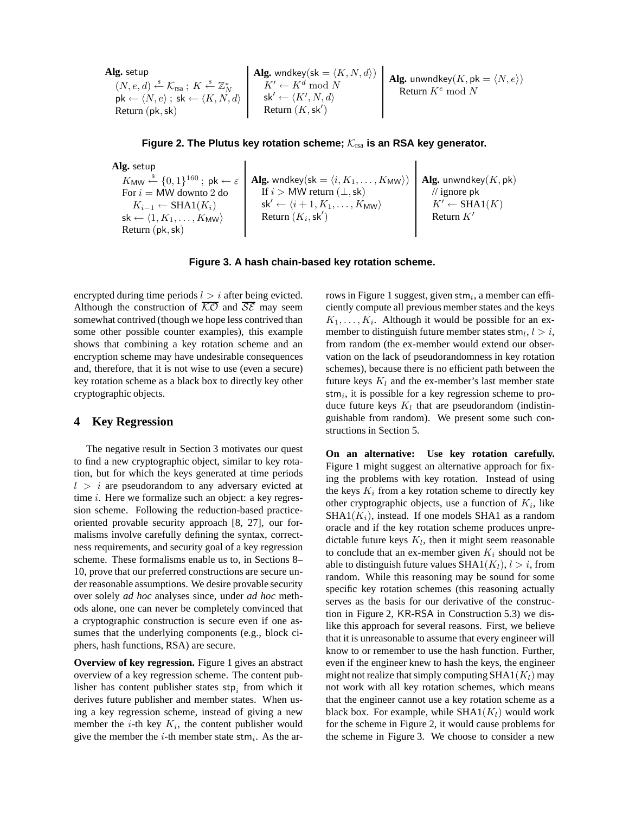| Alg. setup                                                                                | Alg. $\text{wtup}$                        | Alg. $\text{wndkey}(sk = \langle K, N, d \rangle)$      | Alg. $\text{unwndkey}(K, pk = \langle N, e \rangle)$ |
|-------------------------------------------------------------------------------------------|-------------------------------------------|---------------------------------------------------------|------------------------------------------------------|
| $(N, e, d) \stackrel{\$}{\leftarrow} K_{rsa}; K \stackrel{\$}{\leftarrow} \mathbb{Z}_N^*$ | $K' \leftarrow K^d \mod N$                | Alg. $\text{unwndkey}(K, pk = \langle N, e \rangle)$ \n |                                                      |
| $pk \leftarrow \langle N, e \rangle$ ; $sk \leftarrow \langle K, N, d \rangle$            | $sk' \leftarrow \langle K', N, d \rangle$ | $\text{Return } K^e \mod N$                             |                                                      |
| $\text{Return } (pk, sk)$                                                                 | $\text{Return } (K, sk')$                 | $\text{Return } K^e \mod N$                             |                                                      |

Figure 2. The Plutus key rotation scheme;  $\mathcal{K}_{\text{rsa}}$  is an RSA key generator.

**Alg.** setup  $K_{\mathsf{MW}} \stackrel{\hspace{0.1em}\mathsf{\scriptscriptstyle\$}}{\leftarrow} \{0,1\}^{160}\,;\; \mathsf{pk} \leftarrow \varepsilon$ For  $i = M W$  downto 2 do  $K_{i-1} \leftarrow \text{SHA1}(K_i)$  $\mathsf{sk} \leftarrow \langle 1, K_1, \ldots, K_{\mathsf{MW}} \rangle$ Return (pk,sk)  $\mathbf{Alg.}$  wndkey $(\mathsf{sk} = \langle i, K_1, \ldots, K_{\mathsf{MW}}\rangle)$ If  $i > MW$  return  $(\perp, sk)$ sk $'\leftarrow \langle i+1, K_1, \ldots, K_{\mathsf{MW}}\rangle$ Return  $(K_i, \mathsf{sk}')$ **Alg.** unwndkey(K, pk) // ignore pk  $K' \leftarrow \text{SHA1}(K)$ Return  $K'$ 

#### **Figure 3. A hash chain-based key rotation scheme.**

encrypted during time periods  $l > i$  after being evicted. Although the construction of  $\overline{KO}$  and  $\overline{SE}$  may seem somewhat contrived (though we hope less contrived than some other possible counter examples), this example shows that combining a key rotation scheme and an encryption scheme may have undesirable consequences and, therefore, that it is not wise to use (even a secure) key rotation scheme as a black box to directly key other cryptographic objects.

# **4 Key Regression**

The negative result in Section 3 motivates our quest to find a new cryptographic object, similar to key rotation, but for which the keys generated at time periods  $l > i$  are pseudorandom to any adversary evicted at time  $i$ . Here we formalize such an object: a key regression scheme. Following the reduction-based practiceoriented provable security approach [8, 27], our formalisms involve carefully defining the syntax, correctness requirements, and security goal of a key regression scheme. These formalisms enable us to, in Sections 8– 10, prove that our preferred constructions are secure under reasonable assumptions. We desire provable security over solely *ad hoc* analyses since, under *ad hoc* methods alone, one can never be completely convinced that a cryptographic construction is secure even if one assumes that the underlying components (e.g., block ciphers, hash functions, RSA) are secure.

**Overview of key regression.** Figure 1 gives an abstract overview of a key regression scheme. The content publisher has content publisher states  $\mathsf{stp}_i$  from which it derives future publisher and member states. When using a key regression scheme, instead of giving a new member the *i*-th key  $K_i$ , the content publisher would give the member the *i*-th member state stm<sub>*i*</sub>. As the ar-

rows in Figure 1 suggest, given  $\mathsf{stm}_i$ , a member can efficiently compute all previous member states and the keys  $K_1, \ldots, K_i$ . Although it would be possible for an exmember to distinguish future member states  $\mathsf{stm}_l, l > i$ , from random (the ex-member would extend our observation on the lack of pseudorandomness in key rotation schemes), because there is no efficient path between the future keys  $K_l$  and the ex-member's last member state stm $_i$ , it is possible for a key regression scheme to produce future keys  $K_l$  that are pseudorandom (indistinguishable from random). We present some such constructions in Section 5.

**On an alternative: Use key rotation carefully.** Figure 1 might suggest an alternative approach for fixing the problems with key rotation. Instead of using the keys  $K_i$  from a key rotation scheme to directly key other cryptographic objects, use a function of  $K_i$ , like  $SHA1(K_i)$ , instead. If one models SHA1 as a random oracle and if the key rotation scheme produces unpredictable future keys  $K_l$ , then it might seem reasonable to conclude that an ex-member given  $K_i$  should not be able to distinguish future values  $SHA1(K_l), l > i$ , from random. While this reasoning may be sound for some specific key rotation schemes (this reasoning actually serves as the basis for our derivative of the construction in Figure 2, KR-RSA in Construction 5.3) we dislike this approach for several reasons. First, we believe that it is unreasonable to assume that every engineer will know to or remember to use the hash function. Further, even if the engineer knew to hash the keys, the engineer might not realize that simply computing  $SHA1(K_l)$  may not work with all key rotation schemes, which means that the engineer cannot use a key rotation scheme as a black box. For example, while  $SHA1(K_l)$  would work for the scheme in Figure 2, it would cause problems for the scheme in Figure 3. We choose to consider a new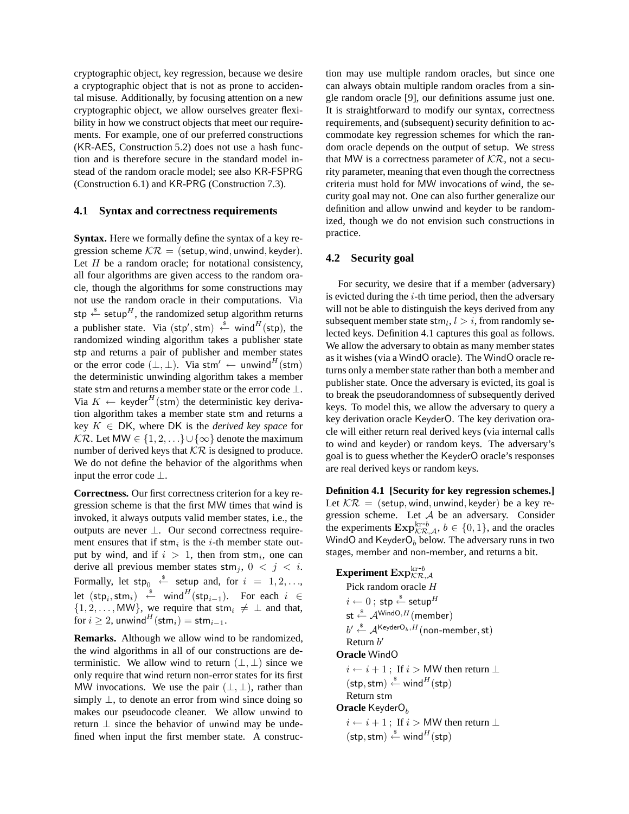cryptographic object, key regression, because we desire a cryptographic object that is not as prone to accidental misuse. Additionally, by focusing attention on a new cryptographic object, we allow ourselves greater flexibility in how we construct objects that meet our requirements. For example, one of our preferred constructions (KR-AES, Construction 5.2) does not use a hash function and is therefore secure in the standard model instead of the random oracle model; see also KR-FSPRG (Construction 6.1) and KR-PRG (Construction 7.3).

# **4.1 Syntax and correctness requirements**

**Syntax.** Here we formally define the syntax of a key regression scheme  $\mathcal{K}\mathcal{R} =$  (setup, wind, unwind, keyder). Let  $H$  be a random oracle; for notational consistency, all four algorithms are given access to the random oracle, though the algorithms for some constructions may not use the random oracle in their computations. Via stp  $\stackrel{\text{\$}}{\leftarrow}$  setup<sup>H</sup>, the randomized setup algorithm returns a publisher state. Via (stp', stm)  $\stackrel{\hspace{0.1em}\mathsf{\scriptscriptstyle\$}}{\leftarrow}$  wind $\stackrel{H}{\left($ stp), the randomized winding algorithm takes a publisher state stp and returns a pair of publisher and member states or the error code  $(\perp, \perp)$ . Via stm'  $\leftarrow$  unwind<sup>H</sup>(stm) the deterministic unwinding algorithm takes a member state stm and returns a member state or the error code ⊥. Via  $K \leftarrow$  keyder<sup>H</sup>(stm) the deterministic key derivation algorithm takes a member state stm and returns a key K ∈ DK, where DK is the *derived key space* for  $K\mathcal{R}$ . Let MW ∈  $\{1, 2, ...\} \cup \{\infty\}$  denote the maximum number of derived keys that  $\mathcal{K}\mathcal{R}$  is designed to produce. We do not define the behavior of the algorithms when input the error code ⊥.

**Correctness.** Our first correctness criterion for a key regression scheme is that the first MW times that wind is invoked, it always outputs valid member states, i.e., the outputs are never ⊥. Our second correctness requirement ensures that if  $strn<sub>i</sub>$  is the *i*-th member state output by wind, and if  $i > 1$ , then from stm<sub>i</sub>, one can derive all previous member states  $\text{stm}_i$ ,  $0 \leq j \leq i$ . Formally, let  $\mathsf{stp}_0 \stackrel{\hspace{0.1em}\mathsf{\scriptscriptstyle\$}}{\leftarrow}$  setup and, for  $i~=~1,2,\ldots,$ let  $(\mathsf{stp}_i, \mathsf{stm}_i) \stackrel{\hspace{0.1em}\mathsf{\scriptscriptstyle\$}}{\leftarrow}$  wind $^H(\mathsf{stp}_{i-1})$ . For each  $i \in$ {1, 2, ..., , MW}, we require that stm<sub>i</sub>  $\neq \perp$  and that, for  $i \geq 2$ , unwind<sup>H</sup>(stm<sub>i</sub>) = stm<sub>i-1</sub>.

**Remarks.** Although we allow wind to be randomized, the wind algorithms in all of our constructions are deterministic. We allow wind to return  $(\perp, \perp)$  since we only require that wind return non-error states for its first MW invocations. We use the pair  $(\perp, \perp)$ , rather than simply  $\perp$ , to denote an error from wind since doing so makes our pseudocode cleaner. We allow unwind to return  $\perp$  since the behavior of unwind may be undefined when input the first member state. A construc-

tion may use multiple random oracles, but since one can always obtain multiple random oracles from a single random oracle [9], our definitions assume just one. It is straightforward to modify our syntax, correctness requirements, and (subsequent) security definition to accommodate key regression schemes for which the random oracle depends on the output of setup. We stress that MW is a correctness parameter of  $\mathcal{K}\mathcal{R}$ , not a security parameter, meaning that even though the correctness criteria must hold for MW invocations of wind, the security goal may not. One can also further generalize our definition and allow unwind and keyder to be randomized, though we do not envision such constructions in practice.

#### **4.2 Security goal**

For security, we desire that if a member (adversary) is evicted during the  $i$ -th time period, then the adversary will not be able to distinguish the keys derived from any subsequent member state  $\text{stm}_l, l > i$ , from randomly selected keys. Definition 4.1 captures this goal as follows. We allow the adversary to obtain as many member states as it wishes (via a WindO oracle). The WindO oracle returns only a member state rather than both a member and publisher state. Once the adversary is evicted, its goal is to break the pseudorandomness of subsequently derived keys. To model this, we allow the adversary to query a key derivation oracle KeyderO. The key derivation oracle will either return real derived keys (via internal calls to wind and keyder) or random keys. The adversary's goal is to guess whether the KeyderO oracle's responses are real derived keys or random keys.

**Definition 4.1 [Security for key regression schemes.]** Let  $\mathcal{K}\mathcal{R} =$  (setup, wind, unwind, keyder) be a key regression scheme. Let *A* be an adversary. Consider the experiments  $\mathbf{Exp}_{\mathcal{KR},\mathcal{A}}^{kr-b}$ ,  $b \in \{0,1\}$ , and the oracles WindO and  $KeyderO<sub>b</sub>$  below. The adversary runs in two stages, member and non-member, and returns a bit.

```
{\bf Experiment ~Exp}_{\mathcal{KR}, \mathcal{A}}^{{\rm kr} \text{-} b}Pick random oracle H
     i \leftarrow 0; stp \stackrel{\$}{\leftarrow} setup^Hst \stackrel{\$}{\leftarrow} \mathcal{A}^{\text{Window},H}(member)
       b' \stackrel{\hspace{0.1em}\mathsf{\scriptscriptstyle\$}}{\leftarrow} \mathcal{A}^{\mathsf{KeyderO}_b, H}(\mathsf{non-member},\mathsf{st})Return b'Oracle WindO
      i \leftarrow i + 1; If i > MW then return \perp(\mathsf{stp},\mathsf{stm}) \overset{\hspace{0.1em}\mathsf{\scriptscriptstyle\$}}{\leftarrow} \mathsf{wind}^H(\mathsf{stp})Return stm
Oracle KeyderO<sub>b</sub>
      i \leftarrow i + 1; If i > MW then return \perp(\mathsf{stp},\mathsf{stm}) \overset{\hspace{0.1em}\mathsf{\scriptscriptstyle\$}}{\leftarrow} \mathsf{wind}^H(\mathsf{stp})
```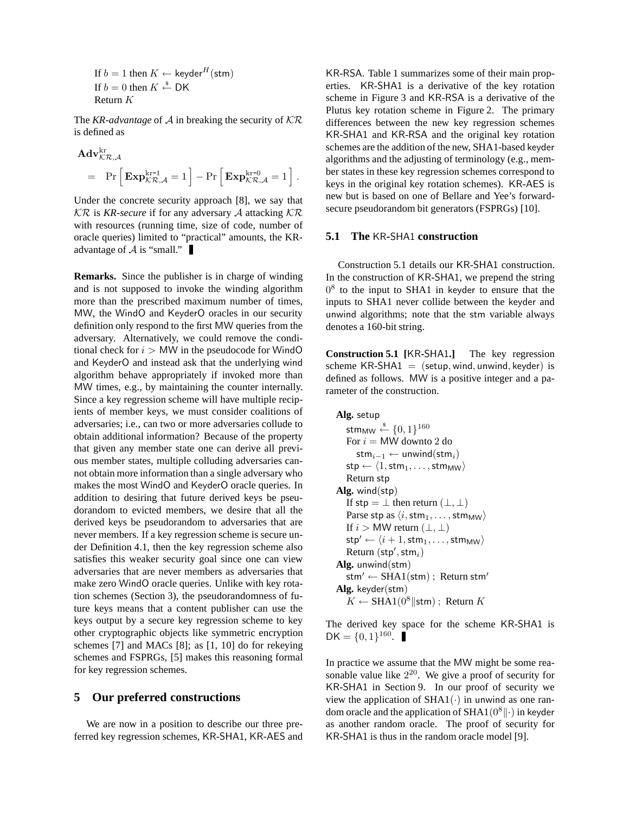If  $b = 1$  then  $K \leftarrow \text{keyder}^H(\text{stm})$ If  $b = 0$  then  $K \stackrel{\$}{\leftarrow} \mathsf{DK}$ Return K

The *KR-advantage* of  $\mathcal A$  in breaking the security of  $\mathcal K\mathcal R$ is defined as

$$
\begin{aligned} &\mathbf{Adv}_{\mathcal{KR}, \mathcal{A}}^{\mathrm{kr}} \\ &=& \Pr\Big[\,\mathbf{Exp}_{\mathcal{KR}, \mathcal{A}}^{\mathrm{kr-1}} = 1\,\Big] - \Pr\Big[\,\mathbf{Exp}_{\mathcal{KR}, \mathcal{A}}^{\mathrm{kr-0}} = 1\,\Big]~. \end{aligned}
$$

Under the concrete security approach [8], we say that  $K\mathcal{R}$  is *KR-secure* if for any adversary A attacking  $\mathcal{K}\mathcal{R}$ with resources (running time, size of code, number of oracle queries) limited to "practical" amounts, the KRadvantage of  $A$  is "small."

**Remarks.** Since the publisher is in charge of winding and is not supposed to invoke the winding algorithm more than the prescribed maximum number of times, MW, the WindO and KeyderO oracles in our security definition only respond to the first MW queries from the adversary. Alternatively, we could remove the conditional check for  $i > MW$  in the pseudocode for WindO and KeyderO and instead ask that the underlying wind algorithm behave appropriately if invoked more than MW times, e.g., by maintaining the counter internally. Since a key regression scheme will have multiple recipients of member keys, we must consider coalitions of adversaries; i.e., can two or more adversaries collude to obtain additional information? Because of the property that given any member state one can derive all previous member states, multiple colluding adversaries cannot obtain more information than a single adversary who makes the most WindO and KeyderO oracle queries. In addition to desiring that future derived keys be pseudorandom to evicted members, we desire that all the derived keys be pseudorandom to adversaries that are never members. If a key regression scheme is secure under Definition 4.1, then the key regression scheme also satisfies this weaker security goal since one can view adversaries that are never members as adversaries that make zero WindO oracle queries. Unlike with key rotation schemes (Section 3), the pseudorandomness of future keys means that a content publisher can use the keys output by a secure key regression scheme to key other cryptographic objects like symmetric encryption schemes [7] and MACs [8]; as [1, 10] do for rekeying schemes and FSPRGs, [5] makes this reasoning formal for key regression schemes.

# **5 Our preferred constructions**

We are now in a position to describe our three preferred key regression schemes, KR-SHA1, KR-AES and

KR-RSA. Table 1 summarizes some of their main properties. KR-SHA1 is a derivative of the key rotation scheme in Figure 3 and KR-RSA is a derivative of the Plutus key rotation scheme in Figure 2. The primary differences between the new key regression schemes KR-SHA1 and KR-RSA and the original key rotation schemes are the addition of the new, SHA1-based keyder algorithms and the adjusting of terminology (e.g., member states in these key regression schemes correspond to keys in the original key rotation schemes). KR-AES is new but is based on one of Bellare and Yee's forwardsecure pseudorandom bit generators (FSPRGs) [10].

# **5.1 The** KR**-**SHA1 **construction**

Construction 5.1 details our KR-SHA1 construction. In the construction of KR-SHA1, we prepend the string  $0<sup>8</sup>$  to the input to SHA1 in keyder to ensure that the inputs to SHA1 never collide between the keyder and unwind algorithms; note that the stm variable always denotes a 160-bit string.

**Construction 5.1 [**KR**-**SHA1**.]** The key regression scheme  $KR$ -SHA1 = (setup, wind, unwind, keyder) is defined as follows. MW is a positive integer and a parameter of the construction.

```
Alg. setup
    stm_{\sf MW} \stackrel{\$}{\leftarrow} \{0,1\}^{160}For i = M W downto 2 do
        stm<sub>i−1</sub> ← unwind(stm<sub>i</sub>)
    \mathsf{stp} \leftarrow \langle 1, \mathsf{stm}_1, \ldots, \mathsf{stm}_\mathsf{MW} \rangleReturn stp
Alg. wind(stp)
    If stp = \perp then return (\perp, \perp)Parse stp as \langle i, \text{stm}_1, \dots, \text{stm}_\text{MW} \rangleIf i > MW return (\perp, \perp)\mathsf{stp}' \leftarrow \langle i + 1, \mathsf{stm}_1, \ldots, \mathsf{stm}_\mathsf{MW} \rangleReturn (stp',stm_i)Alg. unwind(stm)
    stm' \leftarrow SHA1(stm) ; Return stm'
Alg. keyder(stm)
    K \leftarrow SHA1(0<sup>8</sup>||stm) ; Return K
```
The derived key space for the scheme KR-SHA1 is  $DK = \{0, 1\}^{160}.$ 

In practice we assume that the MW might be some reasonable value like  $2^{20}$ . We give a proof of security for KR-SHA1 in Section 9. In our proof of security we view the application of  $SHA1(·)$  in unwind as one random oracle and the application of SHA1( $0^8$ || $\cdot$ ) in keyder as another random oracle. The proof of security for KR-SHA1 is thus in the random oracle model [9].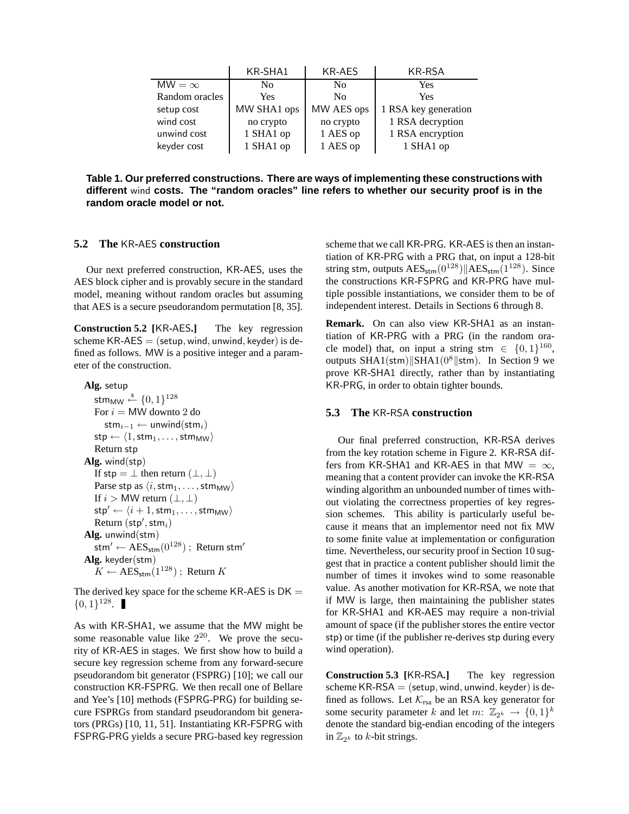|                | KR-SHA1     | KR-AES         | KR-RSA               |
|----------------|-------------|----------------|----------------------|
| $MW = \infty$  | Nο          | N <sub>0</sub> | Yes                  |
| Random oracles | <b>Yes</b>  | No             | <b>Yes</b>           |
| setup cost     | MW SHA1 ops | MW AES ops     | 1 RSA key generation |
| wind cost      | no crypto   | no crypto      | 1 RSA decryption     |
| unwind cost    | 1 SHA1 op   | 1 AES op       | 1 RSA encryption     |
| keyder cost    | 1 SHA1 op   | 1 AES op       | 1 SHA1 op            |

**Table 1. Our preferred constructions. There are ways of implementing these constructions with different** wind **costs. The "random oracles" line refers to whether our security proof is in the random oracle model or not.**

# **5.2 The** KR**-**AES **construction**

Our next preferred construction, KR-AES, uses the AES block cipher and is provably secure in the standard model, meaning without random oracles but assuming that AES is a secure pseudorandom permutation [8, 35].

**Construction 5.2 [**KR**-**AES**.]** The key regression scheme  $KR-AES =$  (setup, wind, unwind, keyder) is defined as follows. MW is a positive integer and a parameter of the construction.

**Alg.** setup

stm $_{\mathsf{MW}} \overset{\hspace{0.1em}\mathsf{\scriptscriptstyle\$}}{\leftarrow} \{0,1\}^{128}$ For  $i = MW$  downto 2 do stm<sub>i−1</sub> ← unwind(stm<sub>i</sub>)  $\mathsf{stp} \leftarrow \langle 1, \mathsf{stm}_1, \ldots, \mathsf{stm}_\mathsf{MW} \rangle$ Return stp **Alg.** wind(stp) If stp =  $\perp$  then return  $(\perp, \perp)$ Parse stp as  $\langle i, \text{stm}_1, \ldots, \text{stm}_\text{MW} \rangle$ If  $i > MW$  return  $(\perp, \perp)$  $\mathsf{stp}' \leftarrow \langle i + 1, \mathsf{stm}_1, \ldots, \mathsf{stm}_\mathsf{MW} \rangle$  $Return (stp',stm_i)$ **Alg.** unwind(stm)  $\text{stm}' \leftarrow \text{AES}_{\text{stm}}(0^{128})$ ; Return stm' **Alg.** keyder(stm)  $K \leftarrow \text{AES}_{\text{stm}}(1^{128})$ : Return K

The derived key space for the scheme KR-AES is  $DK =$  $\{0,1\}^{128}.$ 

As with KR-SHA1, we assume that the MW might be some reasonable value like  $2^{20}$ . We prove the security of KR-AES in stages. We first show how to build a secure key regression scheme from any forward-secure pseudorandom bit generator (FSPRG) [10]; we call our construction KR-FSPRG. We then recall one of Bellare and Yee's [10] methods (FSPRG-PRG) for building secure FSPRGs from standard pseudorandom bit generators (PRGs) [10, 11, 51]. Instantiating KR-FSPRG with FSPRG-PRG yields a secure PRG-based key regression

scheme that we call KR-PRG. KR-AES is then an instantiation of KR-PRG with a PRG that, on input a 128-bit string stm, outputs  $\text{AES}_{\text{stm}}(0^{128})$  AES<sub>stm</sub>(1<sup>128</sup>). Since the constructions KR-FSPRG and KR-PRG have multiple possible instantiations, we consider them to be of independent interest. Details in Sections 6 through 8.

**Remark.** On can also view KR-SHA1 as an instantiation of KR-PRG with a PRG (in the random oracle model) that, on input a string stm  $\in \{0,1\}^{160}$ , outputs SHA1(stm) SHA1( $0^8$ |stm). In Section 9 we prove KR-SHA1 directly, rather than by instantiating KR-PRG, in order to obtain tighter bounds.

# **5.3 The** KR**-**RSA **construction**

Our final preferred construction, KR-RSA derives from the key rotation scheme in Figure 2. KR-RSA differs from KR-SHA1 and KR-AES in that MW =  $\infty$ , meaning that a content provider can invoke the KR-RSA winding algorithm an unbounded number of times without violating the correctness properties of key regression schemes. This ability is particularly useful because it means that an implementor need not fix MW to some finite value at implementation or configuration time. Nevertheless, our security proof in Section 10 suggest that in practice a content publisher should limit the number of times it invokes wind to some reasonable value. As another motivation for KR-RSA, we note that if MW is large, then maintaining the publisher states for KR-SHA1 and KR-AES may require a non-trivial amount of space (if the publisher stores the entire vector stp) or time (if the publisher re-derives stp during every wind operation).

**Construction 5.3 [**KR**-**RSA**.]** The key regression scheme  $KR-RSA = (setup, wind, unwind, keyder)$  is defined as follows. Let  $K_{\text{rsa}}$  be an RSA key generator for some security parameter k and let  $m: \mathbb{Z}_{2^k} \to \{0,1\}^k$ denote the standard big-endian encoding of the integers in  $\mathbb{Z}_{2^k}$  to k-bit strings.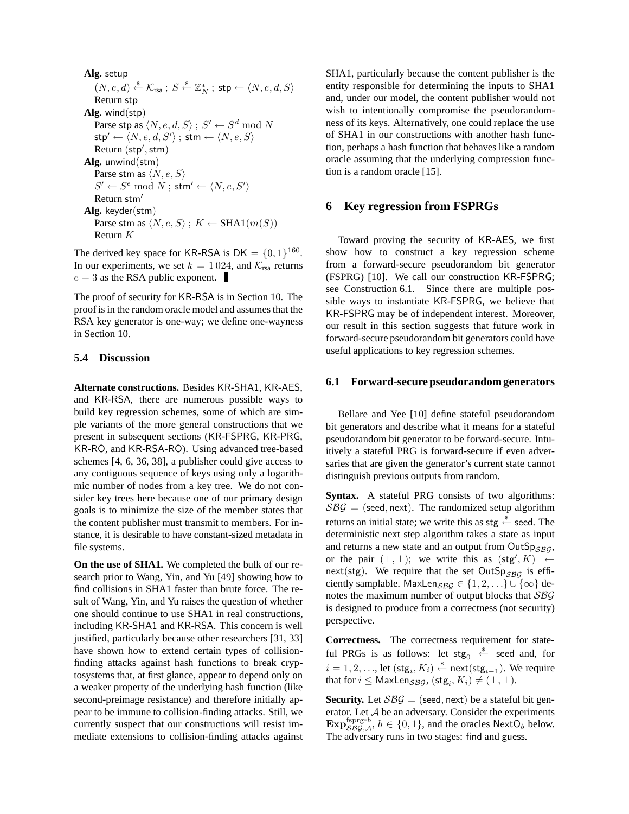**Alg.** setup  $(N, e, d) \stackrel{\hspace{0.1em}\mathsf{\scriptscriptstyle\$}}{\leftarrow} \mathcal{K}_{\text{rsa}} \; ; \; S \stackrel{\hspace{0.1em}\mathsf{\scriptscriptstyle\$}}{\leftarrow} \mathbb{Z}_N^* \; ; \; \mathsf{stp} \leftarrow \langle N, e, d, S \rangle$ Return stp **Alg.** wind(stp) Parse stp as  $\langle N, e, d, S \rangle$  ;  $S' \leftarrow S^d \bmod N$  $\mathsf{stp}' \leftarrow \langle N, e, d, S' \rangle$  ;  $\mathsf{stm} \leftarrow \langle N, e, S \rangle$ Return (stp', stm) **Alg.** unwind(stm) Parse stm as  $\langle N, e, S \rangle$  $S' \leftarrow S^e \mod N$  ; stm'  $\leftarrow \langle N, e, S' \rangle$ Return stm<sup>'</sup> **Alg.** keyder(stm) Parse stm as  $\langle N, e, S \rangle$ ;  $K \leftarrow \text{SHA1}(m(S))$ Return K

The derived key space for KR-RSA is  $DK = \{0, 1\}^{160}$ . In our experiments, we set  $k = 1024$ , and  $\mathcal{K}_{\text{rsa}}$  returns  $e = 3$  as the RSA public exponent.

The proof of security for KR-RSA is in Section 10. The proof is in the random oracle model and assumes that the RSA key generator is one-way; we define one-wayness in Section 10.

#### **5.4 Discussion**

**Alternate constructions.** Besides KR-SHA1, KR-AES, and KR-RSA, there are numerous possible ways to build key regression schemes, some of which are simple variants of the more general constructions that we present in subsequent sections (KR-FSPRG, KR-PRG, KR-RO, and KR-RSA-RO). Using advanced tree-based schemes [4, 6, 36, 38], a publisher could give access to any contiguous sequence of keys using only a logarithmic number of nodes from a key tree. We do not consider key trees here because one of our primary design goals is to minimize the size of the member states that the content publisher must transmit to members. For instance, it is desirable to have constant-sized metadata in file systems.

**On the use of SHA1.** We completed the bulk of our research prior to Wang, Yin, and Yu [49] showing how to find collisions in SHA1 faster than brute force. The result of Wang, Yin, and Yu raises the question of whether one should continue to use SHA1 in real constructions, including KR-SHA1 and KR-RSA. This concern is well justified, particularly because other researchers [31, 33] have shown how to extend certain types of collisionfinding attacks against hash functions to break cryptosystems that, at first glance, appear to depend only on a weaker property of the underlying hash function (like second-preimage resistance) and therefore initially appear to be immune to collision-finding attacks. Still, we currently suspect that our constructions will resist immediate extensions to collision-finding attacks against SHA1, particularly because the content publisher is the entity responsible for determining the inputs to SHA1 and, under our model, the content publisher would not wish to intentionally compromise the pseudorandomness of its keys. Alternatively, one could replace the use of SHA1 in our constructions with another hash function, perhaps a hash function that behaves like a random oracle assuming that the underlying compression function is a random oracle [15].

# **6 Key regression from FSPRGs**

Toward proving the security of KR-AES, we first show how to construct a key regression scheme from a forward-secure pseudorandom bit generator (FSPRG) [10]. We call our construction KR-FSPRG; see Construction 6.1. Since there are multiple possible ways to instantiate KR-FSPRG, we believe that KR-FSPRG may be of independent interest. Moreover, our result in this section suggests that future work in forward-secure pseudorandom bit generators could have useful applications to key regression schemes.

#### **6.1 Forward-secure pseudorandom generators**

Bellare and Yee [10] define stateful pseudorandom bit generators and describe what it means for a stateful pseudorandom bit generator to be forward-secure. Intuitively a stateful PRG is forward-secure if even adversaries that are given the generator's current state cannot distinguish previous outputs from random.

**Syntax.** A stateful PRG consists of two algorithms:  $SBG =$  (seed, next). The randomized setup algorithm returns an initial state; we write this as stg  $\stackrel{\hspace{0.1em}\mathsf{\scriptscriptstyle\$}}{\leftarrow}$  seed. The deterministic next step algorithm takes a state as input and returns a new state and an output from  $OutSp_{SRG}$ , or the pair  $(\perp, \perp)$ ; we write this as  $(\text{stg}', K) \leftarrow$ next(stg). We require that the set OutSp<sub>SBG</sub> is efficiently samplable. MaxLen $_{SBG} \in \{1, 2, ...\} \cup \{\infty\}$  denotes the maximum number of output blocks that SBG is designed to produce from a correctness (not security) perspective.

**Correctness.** The correctness requirement for stateful PRGs is as follows: let  $\mathsf{stg}_0 \stackrel{\hspace{0.1em}\mathsf{\scriptscriptstyle\$}}{\leftarrow}$  seed and, for  $i=1,2,\ldots$ , let  $(\textsf{stg}_i,K_i) \overset{\hspace{0.1em}\mathsf{\scriptscriptstyle\$}}{\leftarrow} \textsf{next}(\textsf{stg}_{i-1}).$  We require that for  $i \leq \mathsf{MaxLen}_{\mathcal{SBG}}$ ,  $(\mathsf{stg}_i, K_i) \neq (\perp, \perp)$ .

**Security.** Let  $\mathcal{S}\mathcal{B}\mathcal{G}$  = (seed, next) be a stateful bit generator. Let A be an adversary. Consider the experiments Exp $_{SBG,A}^{fspre-b}$ ,  $b \in \{0,1\}$ , and the oracles NextO<sub>b</sub> below. The adversary runs in two stages: find and guess.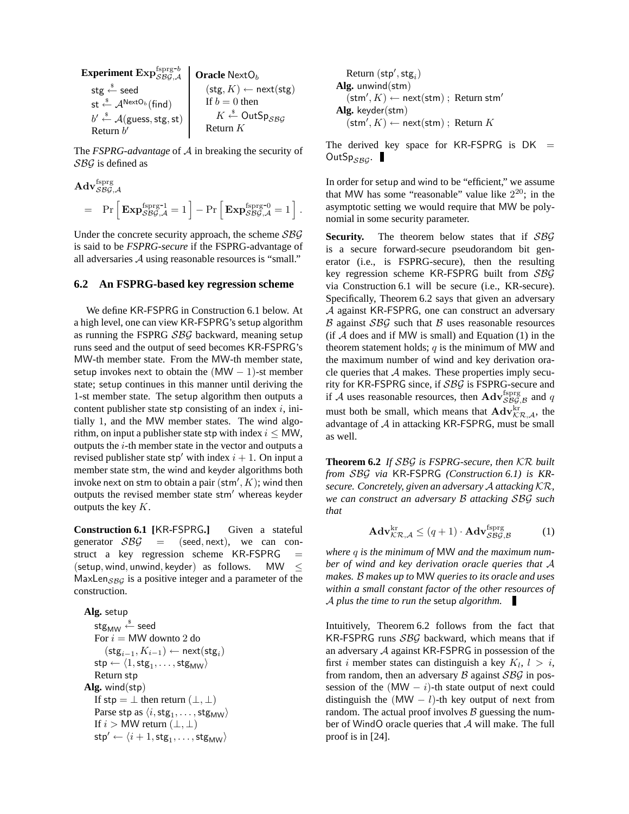| Experiment Exp <sub>SBG,A</sub>                        | Oracle NextO <sub>b</sub>    |                                 |
|--------------------------------------------------------|------------------------------|---------------------------------|
| stg                                                    | • seed                       | (stg, K) $\leftarrow$ next(stg) |
| st                                                     | • $A^{NextO_b}(\text{find})$ | If b = 0 then                   |
| b' $\stackrel{\text{s}}{\leftarrow}$ A(guess, stg, st) | K                            | • OutSp <sub>SBG</sub>          |
| Return b'                                              | Return K                     |                                 |

The *FSPRG-advantage* of A in breaking the security of SBG is defined as

$$
\mathbf{Adv}_{\mathcal{S}\mathcal{B}\mathcal{G},\mathcal{A}}^{\text{fsprg}} = \Pr \left[ \mathbf{Exp}_{\mathcal{S}\mathcal{B}\mathcal{G},\mathcal{A}}^{\text{fsprg-1}} = 1 \right] - \Pr \left[ \mathbf{Exp}_{\mathcal{S}\mathcal{B}\mathcal{G},\mathcal{A}}^{\text{fsprg-0}} = 1 \right]
$$

.

Under the concrete security approach, the scheme  $SBG$ is said to be *FSPRG-secure* if the FSPRG-advantage of all adversaries A using reasonable resources is "small."

#### **6.2 An FSPRG-based key regression scheme**

We define KR-FSPRG in Construction 6.1 below. At a high level, one can view KR-FSPRG's setup algorithm as running the FSPRG SBG backward, meaning setup runs seed and the output of seed becomes KR-FSPRG's MW-th member state. From the MW-th member state, setup invokes next to obtain the  $(MW - 1)$ -st member state; setup continues in this manner until deriving the 1-st member state. The setup algorithm then outputs a content publisher state stp consisting of an index  $i$ , initially 1, and the MW member states. The wind algorithm, on input a publisher state stp with index  $i \leq MW$ , outputs the i-th member state in the vector and outputs a revised publisher state stp' with index  $i + 1$ . On input a member state stm, the wind and keyder algorithms both invoke next on stm to obtain a pair  $(\textsf{stm}', K)$ ; wind then outputs the revised member state stm' whereas keyder outputs the key K.

**Construction 6.1 [**KR**-**FSPRG**.]** Given a stateful generator  $\mathcal{S}\mathcal{B}\mathcal{G}$  = (seed, next), we can construct a key regression scheme KR-FSPRG (setup, wind, unwind, keyder) as follows. MW  $\leq$ MaxLen $_{SBG}$  is a positive integer and a parameter of the construction.

**Alg.** setup stg $_{\mathsf{MW}} \overset{\hspace{0.1em}\mathsf{\scriptscriptstyle\$}}{\leftarrow}$  seed For  $i = MW$  downto 2 do  $(\mathsf{stg}_{i-1}, K_{i-1}) \leftarrow \mathsf{next}(\mathsf{stg}_i)$  $\mathsf{stp} \leftarrow \langle 1, \mathsf{stg}_1, \dots, \mathsf{stg}_\mathsf{MW} \rangle$ Return stp **Alg.** wind(stp) If stp =  $\perp$  then return  $(\perp, \perp)$ Parse stp as  $\langle i, \mathsf{stg}_1, \ldots, \mathsf{stg}_{\mathsf{MW}} \rangle$ If  $i > MW$  return  $(\perp, \perp)$  $\mathsf{stp}' \leftarrow \langle i+1, \mathsf{stg}_1, \dots, \mathsf{stg}_{\mathsf{MW}} \rangle$ 

$$
\begin{array}{l} \text{Return }(\textsf{stp}',\textsf{stg}_i) \\ \textbf{Alg. unwind}(\textsf{stm}) \\ (\textsf{stm}',K) \leftarrow \textsf{next}(\textsf{stm}) \text{ ; Return } \textsf{stm}' \\ \textbf{Alg. } \textsf{keyder}(\textsf{stm}) \\ (\textsf{stm}',K) \leftarrow \textsf{next}(\textsf{stm}) \text{ ; Return } K \end{array}
$$

The derived key space for KR-FSPRG is  $DK =$ OutSp $_{SBG}$ .

In order for setup and wind to be "efficient," we assume that MW has some "reasonable" value like  $2^{20}$ ; in the asymptotic setting we would require that MW be polynomial in some security parameter.

Security. The theorem below states that if SBG is a secure forward-secure pseudorandom bit generator (i.e., is FSPRG-secure), then the resulting key regression scheme KR-FSPRG built from SBG via Construction 6.1 will be secure (i.e., KR-secure). Specifically, Theorem 6.2 says that given an adversary A against KR-FSPRG, one can construct an adversary  $\beta$  against  $\beta\beta\mathcal{G}$  such that  $\beta$  uses reasonable resources  $(f \nvert A \ndoes$  and if MW is small) and Equation (1) in the theorem statement holds;  $q$  is the minimum of MW and the maximum number of wind and key derivation oracle queries that  $A$  makes. These properties imply security for KR-FSPRG since, if SBG is FSPRG-secure and if  $\mathcal A$  uses reasonable resources, then  $\mathbf{Adv}_{\mathcal{S}\mathcal{B}\mathcal{G},\mathcal{B}}^{\text{fsprg}}$  and q must both be small, which means that  $\mathbf{Adv}_{\mathcal{KR},\mathcal{A}}^{\text{kr}},$  the advantage of  $A$  in attacking KR-FSPRG, must be small as well.

**Theorem 6.2** *If* SBG *is FSPRG-secure, then* KR *built from* SBG *via* KR*-*FSPRG *(Construction 6.1) is KRsecure. Concretely, given an adversary* A *attacking* KR*, we can construct an adversary* B *attacking* SBG *such that*

$$
\mathbf{Adv}_{\mathcal{KR}, \mathcal{A}}^{\text{kr}} \le (q+1) \cdot \mathbf{Adv}_{\mathcal{S}\mathcal{BG}, \mathcal{B}}^{\text{fsprg}} \tag{1}
$$

*where* q *is the minimum of* MW *and the maximum number of wind and key derivation oracle queries that* A *makes.* B *makes up to* MW *queries to its oracle and uses within a small constant factor of the other resources of* A *plus the time to run the* setup *algorithm.*

Intuitively, Theorem 6.2 follows from the fact that KR-FSPRG runs  $SBG$  backward, which means that if an adversary A against KR-FSPRG in possession of the first i member states can distinguish a key  $K_l$ ,  $l > i$ , from random, then an adversary  $\beta$  against  $\beta \beta \mathcal{G}$  in possession of the  $(MW - i)$ -th state output of next could distinguish the  $(MW - l)$ -th key output of next from random. The actual proof involves  $\beta$  guessing the number of WindO oracle queries that A will make. The full proof is in [24].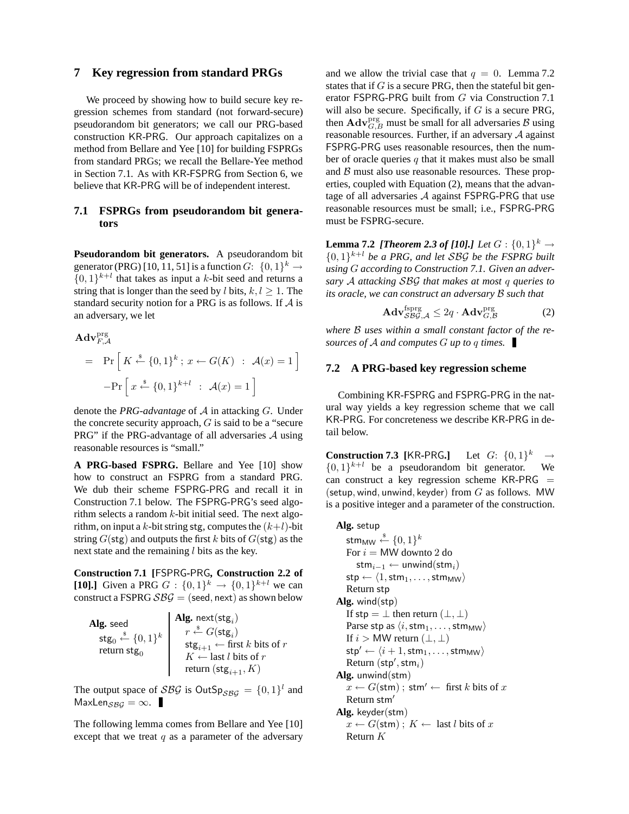# **7 Key regression from standard PRGs**

We proceed by showing how to build secure key regression schemes from standard (not forward-secure) pseudorandom bit generators; we call our PRG-based construction KR-PRG. Our approach capitalizes on a method from Bellare and Yee [10] for building FSPRGs from standard PRGs; we recall the Bellare-Yee method in Section 7.1. As with KR-FSPRG from Section 6, we believe that KR-PRG will be of independent interest.

# **7.1 FSPRGs from pseudorandom bit generators**

**Pseudorandom bit generators.** A pseudorandom bit generator (PRG) [10, 11, 51] is a function  $G: \{0,1\}^k \to$  $\{0,1\}^{k+l}$  that takes as input a k-bit seed and returns a string that is longer than the seed by l bits,  $k, l > 1$ . The standard security notion for a PRG is as follows. If  $A$  is an adversary, we let

$$
\begin{aligned} \mathbf{Adv}_{F,A}^{\text{prg}} &= \Pr\left[K \xleftarrow{\$} \{0,1\}^{k} \; ; \; x \leftarrow G(K) \; : \; \mathcal{A}(x) = 1\right] \\ &- \Pr\left[x \xleftarrow{\$} \{0,1\}^{k+l} \; : \; \mathcal{A}(x) = 1\right] \end{aligned}
$$

denote the *PRG-advantage* of A in attacking G. Under the concrete security approach,  $G$  is said to be a "secure" PRG" if the PRG-advantage of all adversaries  $A$  using reasonable resources is "small."

**A PRG-based FSPRG.** Bellare and Yee [10] show how to construct an FSPRG from a standard PRG. We dub their scheme FSPRG-PRG and recall it in Construction 7.1 below. The FSPRG-PRG's seed algorithm selects a random  $k$ -bit initial seed. The next algorithm, on input a k-bit string stg, computes the  $(k+l)$ -bit string  $G(\text{stg})$  and outputs the first k bits of  $G(\text{stg})$  as the next state and the remaining  $l$  bits as the key.

**Construction 7.1 [**FSPRG**-**PRG**, Construction 2.2 of [10].**] Given a PRG  $G : \{0,1\}^k \to \{0,1\}^{k+l}$  we can construct a FSPRG  $\mathcal{S}\mathcal{B}\mathcal{G}$  = (seed, next) as shown below

| Alg. seed                                                                                    | Alg. $next(stg_i)$                                                 |
|----------------------------------------------------------------------------------------------|--------------------------------------------------------------------|
| $\mathsf{stg}_0 \overset{\hspace{0.1em}\mathsf{\scriptscriptstyle\$}}{\leftarrow} \{0,1\}^k$ | $r \stackrel{\$}{\leftarrow} G(\mathsf{stg}_i)$                    |
| return stg <sub>0</sub>                                                                      | $\mathsf{stg}_{i+1} \leftarrow \text{first } k \text{ bits of } r$ |
|                                                                                              | $K \leftarrow$ last l bits of r                                    |
|                                                                                              | return $(\text{stg}_{i+1}, K)$                                     |

The output space of SBG is OutSp<sub>SBG</sub> =  $\{0,1\}^l$  and MaxLen $_{SBG} = \infty$ .

The following lemma comes from Bellare and Yee [10] except that we treat  $q$  as a parameter of the adversary

and we allow the trivial case that  $q = 0$ . Lemma 7.2 states that if  $G$  is a secure PRG, then the stateful bit generator FSPRG-PRG built from G via Construction 7.1 will also be secure. Specifically, if  $G$  is a secure PRG, then  $\mathbf{Adv}_{G,B}^{\text{prg}}$  must be small for all adversaries  $B$  using reasonable resources. Further, if an adversary A against FSPRG-PRG uses reasonable resources, then the number of oracle queries  $q$  that it makes must also be small and  $B$  must also use reasonable resources. These properties, coupled with Equation (2), means that the advantage of all adversaries A against FSPRG-PRG that use reasonable resources must be small; i.e., FSPRG-PRG must be FSPRG-secure.

**Lemma 7.2** *[Theorem 2.3 of [10].] Let*  $G:\{0,1\}^k \rightarrow$  $\{0,1\}^{k+l}$  be a PRG, and let SBG be the FSPRG built *using* G *according to Construction 7.1. Given an adversary* A *attacking* SBG *that makes at most* q *queries to its oracle, we can construct an adversary* B *such that*

$$
\mathbf{Adv}_{\mathcal{S}\mathcal{B}\mathcal{G},\mathcal{A}}^{\text{fsprg}} \leq 2q \cdot \mathbf{Adv}_{G,\mathcal{B}}^{\text{prg}} \tag{2}
$$

*where* B *uses within a small constant factor of the resources of* A *and computes* G *up to* q *times.*

#### **7.2 A PRG-based key regression scheme**

Combining KR-FSPRG and FSPRG-PRG in the natural way yields a key regression scheme that we call KR-PRG. For concreteness we describe KR-PRG in detail below.

**Construction 7.3** [KR-PRG.] Let  $G: \{0,1\}^k \rightarrow$  $\{0, 1\}^{k+l}$  be a pseudorandom bit generator. We can construct a key regression scheme  $KR-PRG =$ (setup, wind, unwind, keyder) from  $G$  as follows. MW is a positive integer and a parameter of the construction.

**Alg.** setup stm $_{\mathsf{MW}} \overset{\hspace{0.1em}\mathsf{\scriptscriptstyle\$}}{\leftarrow} \{0,1\}^k$ For  $i = M W$  downto 2 do stm<sub>i−1</sub> ← unwind(stm<sub>i</sub>)  $\mathsf{stp} \leftarrow \langle 1, \mathsf{stm}_1, \ldots, \mathsf{stm}_\mathsf{MW} \rangle$ Return stp **Alg.** wind(stp) If stp =  $\perp$  then return  $(\perp, \perp)$ Parse stp as  $\langle i, \text{stm}_1, \dots, \text{stm}_\text{MW} \rangle$ If  $i > MW$  return  $(\perp, \perp)$  $\mathsf{stp}' \leftarrow \langle i + 1, \mathsf{stm}_1, \ldots, \mathsf{stm}_\mathsf{MW} \rangle$  $Return (stp',stm_i)$ **Alg.** unwind(stm)  $x \leftarrow G(\text{stm})$ ; stm'  $\leftarrow$  first k bits of x Return stm<sup>'</sup> **Alg.** keyder(stm)  $x \leftarrow G(\text{stm})$ ;  $K \leftarrow$  last *l* bits of x Return K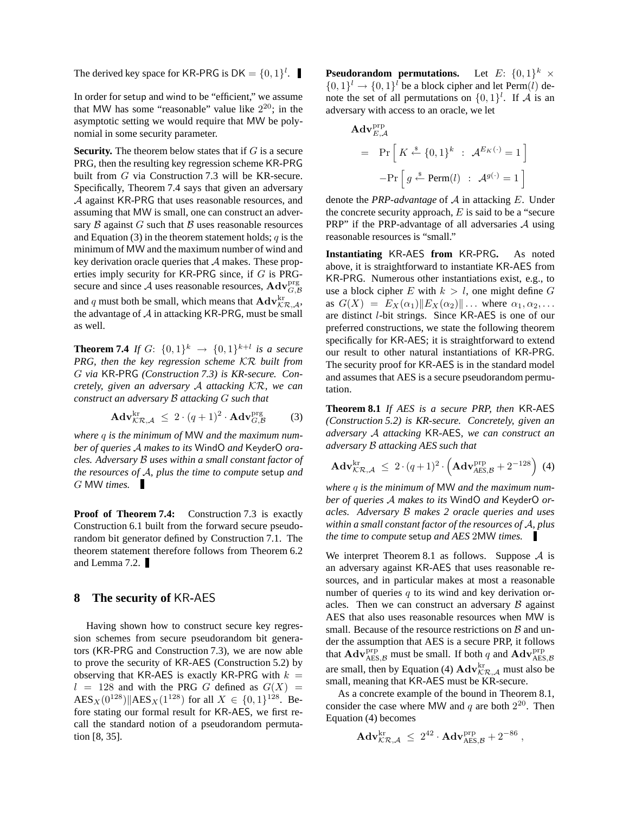The derived key space for KR-PRG is  $DK = \{0, 1\}^l$ .

In order for setup and wind to be "efficient," we assume that MW has some "reasonable" value like  $2^{20}$ ; in the asymptotic setting we would require that MW be polynomial in some security parameter.

**Security.** The theorem below states that if  $G$  is a secure PRG, then the resulting key regression scheme KR-PRG built from G via Construction 7.3 will be KR-secure. Specifically, Theorem 7.4 says that given an adversary A against KR-PRG that uses reasonable resources, and assuming that MW is small, one can construct an adversary  $\beta$  against  $G$  such that  $\beta$  uses reasonable resources and Equation (3) in the theorem statement holds;  $q$  is the minimum of MW and the maximum number of wind and key derivation oracle queries that  $A$  makes. These properties imply security for KR-PRG since, if G is PRGsecure and since A uses reasonable resources,  $\mathbf{Adv}_{G,\mathcal{B}}^{\text{prg}}$ and  $q$  must both be small, which means that  $\mathbf{Adv}_{\mathcal{KR},\mathcal{A}}^{\text{kr}},$ the advantage of  $A$  in attacking KR-PRG, must be small as well.

**Theorem 7.4** If  $G: \{0,1\}^k \to \{0,1\}^{k+l}$  is a secure *PRG, then the key regression scheme* KR *built from* G *via* KR*-*PRG *(Construction 7.3) is KR-secure. Concretely, given an adversary* A *attacking* KR*, we can construct an adversary* B *attacking* G *such that*

$$
\mathbf{Adv}_{\mathcal{KR},\mathcal{A}}^{\text{kr}} \leq 2 \cdot (q+1)^2 \cdot \mathbf{Adv}_{G,\mathcal{B}}^{\text{prg}} \tag{3}
$$

*where* q *is the minimum of* MW *and the maximum number of queries* A *makes to its* WindO *and* KeyderO *oracles. Adversary* B *uses within a small constant factor of the resources of* A*, plus the time to compute* setup *and* G MW *times.*

**Proof of Theorem 7.4:** Construction 7.3 is exactly Construction 6.1 built from the forward secure pseudorandom bit generator defined by Construction 7.1. The theorem statement therefore follows from Theorem 6.2 and Lemma 7.2.

# **8 The security of** KR**-**AES

Having shown how to construct secure key regression schemes from secure pseudorandom bit generators (KR-PRG and Construction 7.3), we are now able to prove the security of KR-AES (Construction 5.2) by observing that KR-AES is exactly KR-PRG with  $k =$  $l = 128$  and with the PRG G defined as  $G(X) =$  $\text{AES}_X(0^{128}) \| \text{AES}_X(1^{128}) \text{ for all } X \in \{0, 1\}^{128}.$  Before stating our formal result for KR-AES, we first recall the standard notion of a pseudorandom permutation [8, 35].

**Pseudorandom permutations.** Let  $E: \{0, 1\}^k \times$  $\{0,1\}$ <sup>l</sup>  $\rightarrow \{0,1\}$ <sup>l</sup> be a block cipher and let Perm(l) denote the set of all permutations on  $\{0,1\}^l$ . If A is an adversary with access to an oracle, we let

$$
\begin{aligned} \mathbf{Adv}_{E,\mathcal{A}}^{\text{prp}} \\ &= \text{Pr}\left[K \stackrel{\text{s}}{\leftarrow} \{0,1\}^k \; : \; \mathcal{A}^{E_K(\cdot)} = 1\right] \\ &- \text{Pr}\left[g \stackrel{\text{s}}{\leftarrow} \text{Perm}(l) \; : \; \mathcal{A}^{g(\cdot)} = 1\right] \end{aligned}
$$

denote the *PRP-advantage* of A in attacking E. Under the concrete security approach,  $E$  is said to be a "secure PRP" if the PRP-advantage of all adversaries  $A$  using reasonable resources is "small."

**Instantiating** KR**-**AES **from** KR**-**PRG**.** As noted above, it is straightforward to instantiate KR-AES from KR-PRG. Numerous other instantiations exist, e.g., to use a block cipher E with  $k > l$ , one might define G as  $G(X) = E_X(\alpha_1) || E_X(\alpha_2) || \dots$  where  $\alpha_1, \alpha_2, \dots$ are distinct l-bit strings. Since KR-AES is one of our preferred constructions, we state the following theorem specifically for KR-AES; it is straightforward to extend our result to other natural instantiations of KR-PRG. The security proof for KR-AES is in the standard model and assumes that AES is a secure pseudorandom permutation.

**Theorem 8.1** *If AES is a secure PRP, then* KR*-*AES *(Construction 5.2) is KR-secure. Concretely, given an adversary* A *attacking* KR*-*AES*, we can construct an adversary* B *attacking AES such that*

$$
\mathbf{Adv}_{\mathcal{K}\mathcal{R},\mathcal{A}}^{\text{kr}} \leq 2 \cdot (q+1)^2 \cdot \left(\mathbf{Adv}_{\mathcal{A}\mathcal{ES},\mathcal{B}}^{\text{prp}} + 2^{-128}\right) (4)
$$

*where* q *is the minimum of* MW *and the maximum number of queries* A *makes to its* WindO *and* KeyderO *oracles. Adversary* B *makes 2 oracle queries and uses within a small constant factor of the resources of* A*, plus the time to compute* setup *and AES* 2MW *times.*

We interpret Theorem 8.1 as follows. Suppose  $A$  is an adversary against KR-AES that uses reasonable resources, and in particular makes at most a reasonable number of queries  $q$  to its wind and key derivation oracles. Then we can construct an adversary  $\beta$  against AES that also uses reasonable resources when MW is small. Because of the resource restrictions on  $\beta$  and under the assumption that AES is a secure PRP, it follows that  $\mathbf{Adv}_{\mathrm{AES}, \mathcal{B}}^{\mathrm{prp}}$  must be small. If both q and  $\mathbf{Adv}_{\mathrm{AES}, \mathcal{B}}^{\mathrm{prp}}$ are small, then by Equation (4)  $\mathbf{Adv}_{\mathcal{KR},\mathcal{A}}^{\text{kr}}$  must also be small, meaning that KR-AES must be KR-secure.

As a concrete example of the bound in Theorem 8.1, consider the case where MW and  $q$  are both  $2^{20}$ . Then Equation (4) becomes

$$
\mathbf{Adv}_{\mathcal{KR}, \mathcal{A}}^{\mathrm{kr}} \; \leq \; 2^{42} \cdot \mathbf{Adv}_{\mathrm{AES}, \mathcal{B}}^{\mathrm{prp}} + 2^{-86} \; ,
$$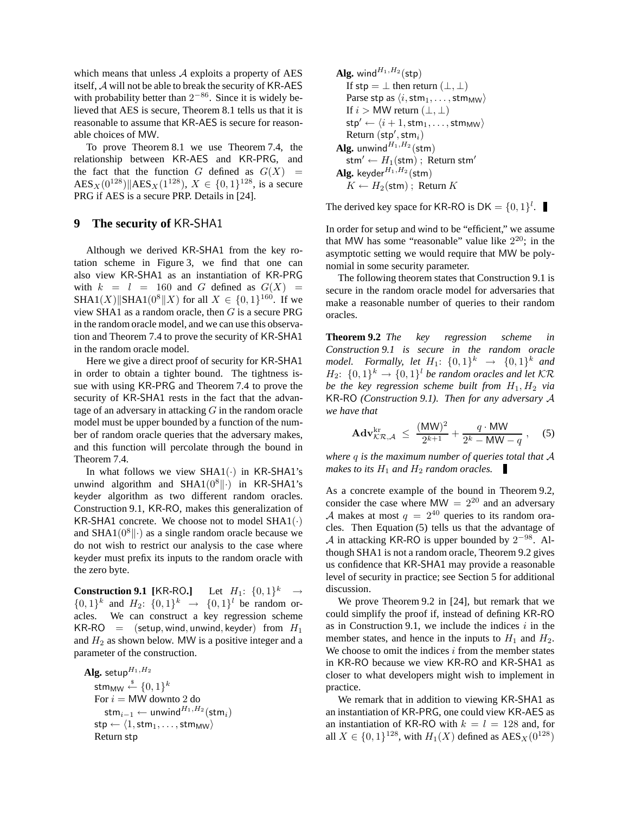which means that unless  $A$  exploits a property of AES itself, A will not be able to break the security of KR-AES with probability better than  $2^{-86}$ . Since it is widely believed that AES is secure, Theorem 8.1 tells us that it is reasonable to assume that KR-AES is secure for reasonable choices of MW.

To prove Theorem 8.1 we use Theorem 7.4, the relationship between KR-AES and KR-PRG, and the fact that the function G defined as  $G(X)$  =  $\text{AES}_X(0^{128}) \| \text{AES}_X(1^{128}), X \in \{0, 1\}^{128}, \text{ is a secure}$ PRG if AES is a secure PRP. Details in [24].

# **9 The security of** KR**-**SHA1

Although we derived KR-SHA1 from the key rotation scheme in Figure 3, we find that one can also view KR-SHA1 as an instantiation of KR-PRG with  $k = l = 160$  and G defined as  $G(X) =$ SHA1(X)||SHA1(0<sup>8</sup>||X) for all  $X \in \{0, 1\}^{160}$ . If we view SHA1 as a random oracle, then  $G$  is a secure PRG in the random oracle model, and we can use this observation and Theorem 7.4 to prove the security of KR-SHA1 in the random oracle model.

Here we give a direct proof of security for KR-SHA1 in order to obtain a tighter bound. The tightness issue with using KR-PRG and Theorem 7.4 to prove the security of KR-SHA1 rests in the fact that the advantage of an adversary in attacking  $G$  in the random oracle model must be upper bounded by a function of the number of random oracle queries that the adversary makes, and this function will percolate through the bound in Theorem 7.4.

In what follows we view  $SHA1(\cdot)$  in KR-SHA1's unwind algorithm and SHA1 $(0^8\|\cdot)$  in KR-SHA1's keyder algorithm as two different random oracles. Construction 9.1, KR-RO, makes this generalization of KR-SHA1 concrete. We choose not to model  $SHA1(\cdot)$ and SHA1( $0^8$ || $\cdot$ ) as a single random oracle because we do not wish to restrict our analysis to the case where keyder must prefix its inputs to the random oracle with the zero byte.

**Construction 9.1** [KR-RO.] Let  $H_1: \{0,1\}^k \rightarrow$  $\{0,1\}^k$  and  $H_2$ :  $\{0,1\}^k \rightarrow \{0,1\}^l$  be random oracles. We can construct a key regression scheme  $KR-RO = (setup, wind, unwind, keyder) from H<sub>1</sub>$ and  $H_2$  as shown below. MW is a positive integer and a parameter of the construction.

Alg. setup $^{H_1,H_2}$ stm $_{\mathsf{MW}} \overset{\hspace{0.1em}\mathsf{\scriptscriptstyle\$}}{\leftarrow} \{0,1\}^k$ For  $i = MW$  downto 2 do  $\mathsf{stm}_{i-1} \leftarrow \mathsf{unwind}^{H_1,H_2}(\mathsf{stm}_i)$  $\mathsf{stp} \leftarrow \langle 1, \mathsf{stm}_1, \ldots, \mathsf{stm}_\mathsf{MW} \rangle$ Return stp

**Alg.** wind<sup>*H*<sub>1</sub>,*H*<sub>2</sub>(stp)  
\nIf 
$$
\text{stp} = \bot
$$
 then return  $(\bot, \bot)$   
\nParse  $\text{stp}$  as  $\langle i, \text{stm}_1, \ldots, \text{stm}_\text{MW} \rangle$   
\nIf  $i > \text{MW return } (\bot, \bot)$   
\n $\text{stp}' \leftarrow \langle i + 1, \text{stm}_1, \ldots, \text{stm}_\text{MW} \rangle$   
\nReturn  $(\text{stp}', \text{stm}_i)$   
\n**Alg.** unwind<sup>*H*<sub>1</sub>,*H*<sub>2</sub>(stm)  
\n $\text{stm}' \leftarrow H_1(\text{stm})$ ; Return  $\text{stm}'$   
\n**Alg.** keyder<sup>*H*<sub>1</sub>,*H*<sub>2</sub>(stm)  
\n $K \leftarrow H_2(\text{stm})$ ; Return  $K$</sup></sup></sup> 

The derived key space for KR-RO is  $DK = \{0, 1\}^l$ .

In order for setup and wind to be "efficient," we assume that MW has some "reasonable" value like  $2^{20}$ ; in the asymptotic setting we would require that MW be polynomial in some security parameter.

The following theorem states that Construction 9.1 is secure in the random oracle model for adversaries that make a reasonable number of queries to their random oracles.

**Theorem 9.2** *The key regression scheme in Construction 9.1 is secure in the random oracle model.* Formally, let  $H_1$ :  $\{0,1\}^k$   $\rightarrow$   $\{0,1\}^k$  and  $H_2$ :  $\{0,1\}^k \rightarrow \{0,1\}^l$  be random oracles and let  $\mathcal{K}\mathcal{R}$ *be the key regression scheme built from*  $H_1, H_2$  *via* KR*-*RO *(Construction 9.1). Then for any adversary* A *we have that*

$$
\mathbf{Adv}_{\mathcal{KR},\mathcal{A}}^{\text{kr}} \le \frac{(\mathsf{MW})^2}{2^{k+1}} + \frac{q \cdot \mathsf{MW}}{2^k - \mathsf{MW} - q}, \quad (5)
$$

*where* q *is the maximum number of queries total that* A *makes to its*  $H_1$  *and*  $H_2$  *random oracles.* 

As a concrete example of the bound in Theorem 9.2, consider the case where  $MW = 2^{20}$  and an adversary A makes at most  $q = 2^{40}$  queries to its random oracles. Then Equation (5) tells us that the advantage of A in attacking KR-RO is upper bounded by  $2^{-98}$ . Although SHA1 is not a random oracle, Theorem 9.2 gives us confidence that KR-SHA1 may provide a reasonable level of security in practice; see Section 5 for additional discussion.

We prove Theorem 9.2 in [24], but remark that we could simplify the proof if, instead of defining KR-RO as in Construction 9.1, we include the indices  $i$  in the member states, and hence in the inputs to  $H_1$  and  $H_2$ . We choose to omit the indices  $i$  from the member states in KR-RO because we view KR-RO and KR-SHA1 as closer to what developers might wish to implement in practice.

We remark that in addition to viewing KR-SHA1 as an instantiation of KR-PRG, one could view KR-AES as an instantiation of KR-RO with  $k = l = 128$  and, for all  $X \in \{0, 1\}^{128}$ , with  $H_1(X)$  defined as  $\text{AES}_X(0^{128})$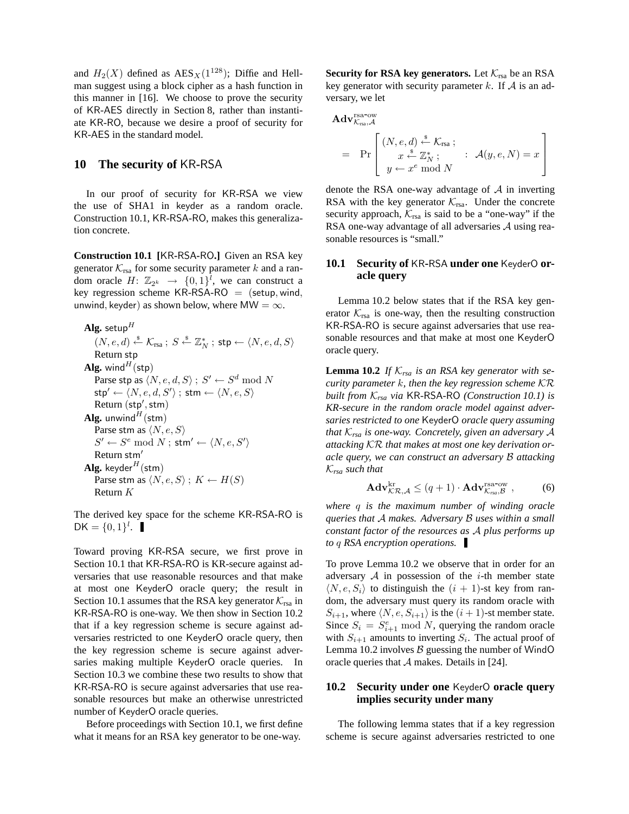and  $H_2(X)$  defined as  $\text{AES}_X(1^{128})$ ; Diffie and Hellman suggest using a block cipher as a hash function in this manner in [16]. We choose to prove the security of KR-AES directly in Section 8, rather than instantiate KR-RO, because we desire a proof of security for KR-AES in the standard model.

# **10 The security of** KR**-**RSA

In our proof of security for KR-RSA we view the use of SHA1 in keyder as a random oracle. Construction 10.1, KR-RSA-RO, makes this generalization concrete.

**Construction 10.1 [**KR**-**RSA**-**RO**.]** Given an RSA key generator  $\mathcal{K}_{\text{rsa}}$  for some security parameter k and a random oracle  $H: \mathbb{Z}_{2^k} \to \{0,1\}^{\overline{l}}$ , we can construct a key regression scheme KR-RSA-RO  $=$  (setup, wind, unwind, keyder) as shown below, where MW =  $\infty$ .

**Alg.** setup<sup>H</sup>  
\n(N, e, d) 
$$
\stackrel{\$}{\leftarrow} \mathcal{K}_{\text{rsa}}
$$
;  $S \stackrel{\$}{\leftarrow} \mathbb{Z}_N^*$ ;  $\text{stp} \leftarrow \langle N, e, d, S \rangle$   
\nReturn step  
\n**Alg.** wind<sup>H</sup> (stp)  
\nParse step as  $\langle N, e, d, S \rangle$ ;  $S' \leftarrow S^d \mod N$   
\n $\text{stp}' \leftarrow \langle N, e, d, S' \rangle$ ;  $\text{stm} \leftarrow \langle N, e, S \rangle$   
\nReturn  $(\text{stp}', \text{stm})$   
\n**Alg.** unwind<sup>H</sup> (stm)  
\nParse stem as  $\langle N, e, S \rangle$   
\n $S' \leftarrow S^e \mod N$ ;  $\text{stm}' \leftarrow \langle N, e, S' \rangle$   
\nReturn  $\text{stm}'$   
\n**Alg.** keyder<sup>H</sup> (stm)  
\nParse stem as  $\langle N, e, S \rangle$ ;  $K \leftarrow H(S)$   
\nReturn  $K$ 

The derived key space for the scheme KR-RSA-RO is  $DK = \{0, 1\}^l$ .

Toward proving KR-RSA secure, we first prove in Section 10.1 that KR-RSA-RO is KR-secure against adversaries that use reasonable resources and that make at most one KeyderO oracle query; the result in Section 10.1 assumes that the RSA key generator  $\mathcal{K}_{\text{rsa}}$  in KR-RSA-RO is one-way. We then show in Section 10.2 that if a key regression scheme is secure against adversaries restricted to one KeyderO oracle query, then the key regression scheme is secure against adversaries making multiple KeyderO oracle queries. In Section 10.3 we combine these two results to show that KR-RSA-RO is secure against adversaries that use reasonable resources but make an otherwise unrestricted number of KeyderO oracle queries.

Before proceedings with Section 10.1, we first define what it means for an RSA key generator to be one-way.

**Security for RSA key generators.** Let  $K_{\text{rsa}}$  be an RSA key generator with security parameter k. If  $\mathcal A$  is an adversary, we let

$$
\mathbf{Adv}_{\mathcal{K}_{\text{rsa}}, \mathcal{A}}^{\text{rsa-ow}} \\
= \Pr \left[ \begin{array}{c} (N, e, d) \stackrel{\$}{\leftarrow} \mathcal{K}_{\text{rsa}}; \\ x \stackrel{\$}{\leftarrow} \mathbb{Z}_N^* \end{array}; \quad : \quad \mathcal{A}(y, e, N) = x \\ y \leftarrow x^e \mod N \end{array} \right] \right]
$$

denote the RSA one-way advantage of  $A$  in inverting RSA with the key generator  $K_{\text{rsa}}$ . Under the concrete security approach,  $K_{\text{rsa}}$  is said to be a "one-way" if the RSA one-way advantage of all adversaries A using reasonable resources is "small."

### **10.1 Security of** KR**-**RSA **under one** KeyderO **oracle query**

Lemma 10.2 below states that if the RSA key generator  $K_{\text{rsa}}$  is one-way, then the resulting construction KR-RSA-RO is secure against adversaries that use reasonable resources and that make at most one KeyderO oracle query.

**Lemma 10.2** *If*  $K_{rsa}$  *is an RSA key generator with security parameter* k*, then the key regression scheme* KR *built from* K*rsa via* KR*-*RSA*-*RO *(Construction 10.1) is KR-secure in the random oracle model against adversaries restricted to one* KeyderO *oracle query assuming that* K*rsa is one-way. Concretely, given an adversary* A *attacking* KR *that makes at most one key derivation oracle query, we can construct an adversary* B *attacking* K*rsa such that*

$$
\mathbf{Adv}_{\mathcal{KR}, \mathcal{A}}^{\text{kr}} \le (q+1) \cdot \mathbf{Adv}_{\mathcal{K}_{\text{rsa}}, \mathcal{B}}^{\text{rsa-ow}}, \tag{6}
$$

*where* q *is the maximum number of winding oracle queries that* A *makes. Adversary* B *uses within a small constant factor of the resources as* A *plus performs up to* q *RSA encryption operations.*

To prove Lemma 10.2 we observe that in order for an adversary  $A$  in possession of the *i*-th member state  $\langle N, e, S_i \rangle$  to distinguish the  $(i + 1)$ -st key from random, the adversary must query its random oracle with  $S_{i+1}$ , where  $\langle N, e, S_{i+1} \rangle$  is the  $(i + 1)$ -st member state. Since  $S_i = S_{i+1}^e \bmod N$ , querying the random oracle with  $S_{i+1}$  amounts to inverting  $S_i$ . The actual proof of Lemma 10.2 involves  $\beta$  guessing the number of WindO oracle queries that A makes. Details in [24].

# **10.2 Security under one** KeyderO **oracle query implies security under many**

The following lemma states that if a key regression scheme is secure against adversaries restricted to one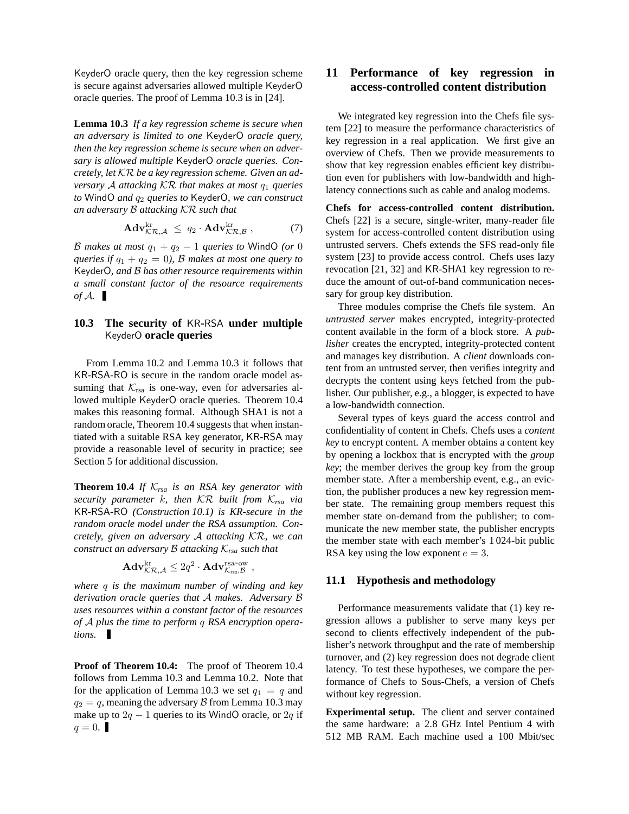KeyderO oracle query, then the key regression scheme is secure against adversaries allowed multiple KeyderO oracle queries. The proof of Lemma 10.3 is in [24].

**Lemma 10.3** *If a key regression scheme is secure when an adversary is limited to one* KeyderO *oracle query, then the key regression scheme is secure when an adversary is allowed multiple* KeyderO *oracle queries. Concretely, let* KR *be a key regression scheme. Given an adversary* A attacking  $\mathcal{K}\mathcal{R}$  that makes at most  $q_1$  queries *to* WindO *and*  $q_2$  *queries to* KeyderO, we can construct *an adversary* B *attacking* KR *such that*

$$
\mathbf{Adv}_{\mathcal{KR},\mathcal{A}}^{\text{kr}} \leq q_2 \cdot \mathbf{Adv}_{\mathcal{KR},\mathcal{B}}^{\text{kr}}, \tag{7}
$$

B makes at most  $q_1 + q_2 - 1$  *queries to* WindO *(or* 0) *queries if*  $q_1 + q_2 = 0$ *), B makes at most one query to* KeyderO*, and* B *has other resource requirements within a small constant factor of the resource requirements of*  $A$ .

# **10.3 The security of** KR**-**RSA **under multiple** KeyderO **oracle queries**

From Lemma 10.2 and Lemma 10.3 it follows that KR-RSA-RO is secure in the random oracle model assuming that  $K_{\text{rsa}}$  is one-way, even for adversaries allowed multiple KeyderO oracle queries. Theorem 10.4 makes this reasoning formal. Although SHA1 is not a random oracle, Theorem 10.4 suggests that when instantiated with a suitable RSA key generator, KR-RSA may provide a reasonable level of security in practice; see Section 5 for additional discussion.

**Theorem 10.4** *If* K*rsa is an RSA key generator with security parameter* k*, then* KR *built from* K*rsa via* KR*-*RSA*-*RO *(Construction 10.1) is KR-secure in the random oracle model under the RSA assumption. Concretely, given an adversary* A *attacking* KR*, we can construct an adversary* B *attacking* K*rsa such that*

$$
\mathbf{Adv}_{\mathcal{K}\mathcal{R},\mathcal{A}}^{\mathrm{kr}} \leq 2q^2 \cdot \mathbf{Adv}_{\mathcal{K}_{\text{rsa}},\mathcal{B}}^{\mathrm{rsa-ow}} \ ,
$$

*where* q *is the maximum number of winding and key derivation oracle queries that* A *makes. Adversary* B *uses resources within a constant factor of the resources of* A *plus the time to perform* q *RSA encryption operations.*

**Proof of Theorem 10.4:** The proof of Theorem 10.4 follows from Lemma 10.3 and Lemma 10.2. Note that for the application of Lemma 10.3 we set  $q_1 = q$  and  $q_2 = q$ , meaning the adversary B from Lemma 10.3 may make up to  $2q - 1$  queries to its WindO oracle, or  $2q$  if  $q = 0.$ 

# **11 Performance of key regression in access-controlled content distribution**

We integrated key regression into the Chefs file system [22] to measure the performance characteristics of key regression in a real application. We first give an overview of Chefs. Then we provide measurements to show that key regression enables efficient key distribution even for publishers with low-bandwidth and highlatency connections such as cable and analog modems.

**Chefs for access-controlled content distribution.** Chefs [22] is a secure, single-writer, many-reader file system for access-controlled content distribution using untrusted servers. Chefs extends the SFS read-only file system [23] to provide access control. Chefs uses lazy revocation [21, 32] and KR-SHA1 key regression to reduce the amount of out-of-band communication necessary for group key distribution.

Three modules comprise the Chefs file system. An *untrusted server* makes encrypted, integrity-protected content available in the form of a block store. A *publisher* creates the encrypted, integrity-protected content and manages key distribution. A *client* downloads content from an untrusted server, then verifies integrity and decrypts the content using keys fetched from the publisher. Our publisher, e.g., a blogger, is expected to have a low-bandwidth connection.

Several types of keys guard the access control and confidentiality of content in Chefs. Chefs uses a *content key* to encrypt content. A member obtains a content key by opening a lockbox that is encrypted with the *group key*; the member derives the group key from the group member state. After a membership event, e.g., an eviction, the publisher produces a new key regression member state. The remaining group members request this member state on-demand from the publisher; to communicate the new member state, the publisher encrypts the member state with each member's 1 024-bit public RSA key using the low exponent  $e = 3$ .

# **11.1 Hypothesis and methodology**

Performance measurements validate that (1) key regression allows a publisher to serve many keys per second to clients effectively independent of the publisher's network throughput and the rate of membership turnover, and (2) key regression does not degrade client latency. To test these hypotheses, we compare the performance of Chefs to Sous-Chefs, a version of Chefs without key regression.

**Experimental setup.** The client and server contained the same hardware: a 2.8 GHz Intel Pentium 4 with 512 MB RAM. Each machine used a 100 Mbit/sec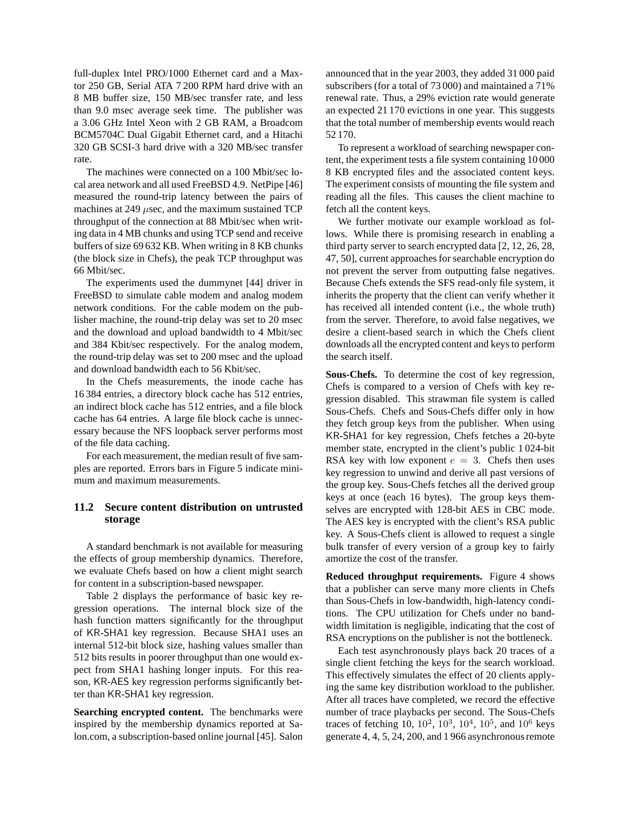full-duplex Intel PRO/1000 Ethernet card and a Maxtor 250 GB, Serial ATA 7 200 RPM hard drive with an 8 MB buffer size, 150 MB/sec transfer rate, and less than 9.0 msec average seek time. The publisher was a 3.06 GHz Intel Xeon with 2 GB RAM, a Broadcom BCM5704C Dual Gigabit Ethernet card, and a Hitachi 320 GB SCSI-3 hard drive with a 320 MB/sec transfer rate.

The machines were connected on a 100 Mbit/sec local area network and all used FreeBSD 4.9. NetPipe [46] measured the round-trip latency between the pairs of machines at 249  $\mu$ sec, and the maximum sustained TCP throughput of the connection at 88 Mbit/sec when writing data in 4 MB chunks and using TCP send and receive buffers of size 69 632 KB. When writing in 8 KB chunks (the block size in Chefs), the peak TCP throughput was 66 Mbit/sec.

The experiments used the dummynet [44] driver in FreeBSD to simulate cable modem and analog modem network conditions. For the cable modem on the publisher machine, the round-trip delay was set to 20 msec and the download and upload bandwidth to 4 Mbit/sec and 384 Kbit/sec respectively. For the analog modem, the round-trip delay was set to 200 msec and the upload and download bandwidth each to 56 Kbit/sec.

In the Chefs measurements, the inode cache has 16 384 entries, a directory block cache has 512 entries, an indirect block cache has 512 entries, and a file block cache has 64 entries. A large file block cache is unnecessary because the NFS loopback server performs most of the file data caching.

For each measurement, the median result of five samples are reported. Errors bars in Figure 5 indicate minimum and maximum measurements.

# **11.2 Secure content distribution on untrusted storage**

A standard benchmark is not available for measuring the effects of group membership dynamics. Therefore, we evaluate Chefs based on how a client might search for content in a subscription-based newspaper.

Table 2 displays the performance of basic key regression operations. The internal block size of the hash function matters significantly for the throughput of KR-SHA1 key regression. Because SHA1 uses an internal 512-bit block size, hashing values smaller than 512 bits results in poorer throughput than one would expect from SHA1 hashing longer inputs. For this reason, KR-AES key regression performs significantly better than KR-SHA1 key regression.

**Searching encrypted content.** The benchmarks were inspired by the membership dynamics reported at Salon.com, a subscription-based online journal [45]. Salon announced that in the year 2003, they added 31 000 paid subscribers (for a total of 73 000) and maintained a 71% renewal rate. Thus, a 29% eviction rate would generate an expected 21 170 evictions in one year. This suggests that the total number of membership events would reach 52 170.

To represent a workload of searching newspaper content, the experiment tests a file system containing 10 000 8 KB encrypted files and the associated content keys. The experiment consists of mounting the file system and reading all the files. This causes the client machine to fetch all the content keys.

We further motivate our example workload as follows. While there is promising research in enabling a third party server to search encrypted data [2, 12, 26, 28, 47, 50], current approaches for searchable encryption do not prevent the server from outputting false negatives. Because Chefs extends the SFS read-only file system, it inherits the property that the client can verify whether it has received all intended content (i.e., the whole truth) from the server. Therefore, to avoid false negatives, we desire a client-based search in which the Chefs client downloads all the encrypted content and keys to perform the search itself.

**Sous-Chefs.** To determine the cost of key regression, Chefs is compared to a version of Chefs with key regression disabled. This strawman file system is called Sous-Chefs. Chefs and Sous-Chefs differ only in how they fetch group keys from the publisher. When using KR-SHA1 for key regression, Chefs fetches a 20-byte member state, encrypted in the client's public 1 024-bit RSA key with low exponent  $e = 3$ . Chefs then uses key regression to unwind and derive all past versions of the group key. Sous-Chefs fetches all the derived group keys at once (each 16 bytes). The group keys themselves are encrypted with 128-bit AES in CBC mode. The AES key is encrypted with the client's RSA public key. A Sous-Chefs client is allowed to request a single bulk transfer of every version of a group key to fairly amortize the cost of the transfer.

**Reduced throughput requirements.** Figure 4 shows that a publisher can serve many more clients in Chefs than Sous-Chefs in low-bandwidth, high-latency conditions. The CPU utilization for Chefs under no bandwidth limitation is negligible, indicating that the cost of RSA encryptions on the publisher is not the bottleneck.

Each test asynchronously plays back 20 traces of a single client fetching the keys for the search workload. This effectively simulates the effect of 20 clients applying the same key distribution workload to the publisher. After all traces have completed, we record the effective number of trace playbacks per second. The Sous-Chefs traces of fetching 10,  $10^2$ ,  $10^3$ ,  $10^4$ ,  $10^5$ , and  $10^6$  keys generate 4, 4, 5, 24, 200, and 1 966 asynchronous remote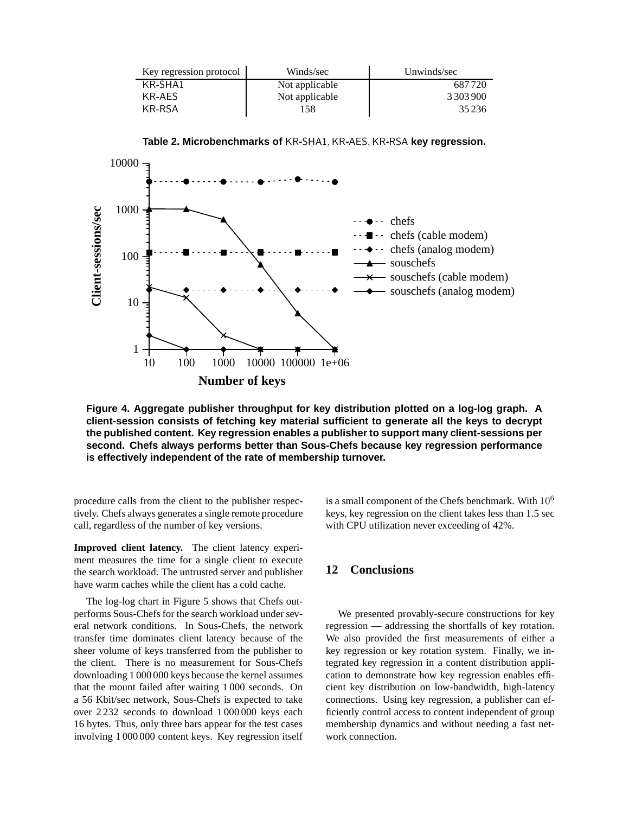| Key regression protocol | Winds/sec      | Unwinds/sec   |
|-------------------------|----------------|---------------|
| KR-SHA1                 | Not applicable | 687720        |
| KR-AES                  | Not applicable | 3 3 0 3 9 0 0 |
| KR-RSA                  | 158            | 35 236        |

**Table 2. Microbenchmarks of** KR**-**SHA1,KR**-**AES,KR**-**RSA **key regression.**



**Figure 4. Aggregate publisher throughput for key distribution plotted on a log-log graph. A client-session consists of fetching key material sufficient to generate all the keys to decrypt the published content. Key regression enables a publisher to support many client-sessions per second. Chefs always performs better than Sous-Chefs because key regression performance is effectively independent of the rate of membership turnover.**

procedure calls from the client to the publisher respectively. Chefs always generates a single remote procedure call, regardless of the number of key versions.

**Improved client latency.** The client latency experiment measures the time for a single client to execute the search workload. The untrusted server and publisher have warm caches while the client has a cold cache.

The log-log chart in Figure 5 shows that Chefs outperforms Sous-Chefs for the search workload under several network conditions. In Sous-Chefs, the network transfer time dominates client latency because of the sheer volume of keys transferred from the publisher to the client. There is no measurement for Sous-Chefs downloading 1 000 000 keys because the kernel assumes that the mount failed after waiting 1 000 seconds. On a 56 Kbit/sec network, Sous-Chefs is expected to take over 2 232 seconds to download 1 000 000 keys each 16 bytes. Thus, only three bars appear for the test cases involving 1 000 000 content keys. Key regression itself is a small component of the Chefs benchmark. With  $10<sup>6</sup>$ keys, key regression on the client takes less than 1.5 sec with CPU utilization never exceeding of 42%.

# **12 Conclusions**

We presented provably-secure constructions for key regression — addressing the shortfalls of key rotation. We also provided the first measurements of either a key regression or key rotation system. Finally, we integrated key regression in a content distribution application to demonstrate how key regression enables efficient key distribution on low-bandwidth, high-latency connections. Using key regression, a publisher can efficiently control access to content independent of group membership dynamics and without needing a fast network connection.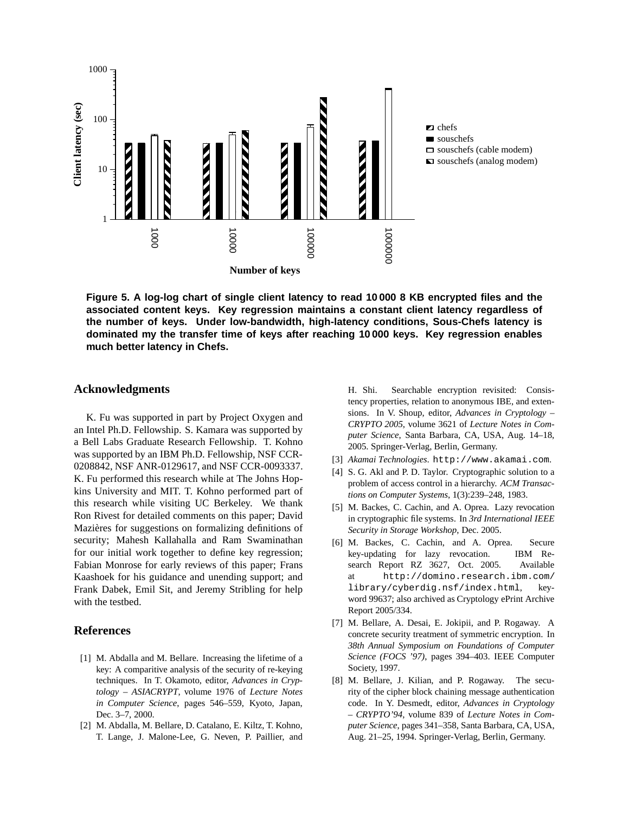

**Figure 5. A log-log chart of single client latency to read 10 000 8 KB encrypted files and the associated content keys. Key regression maintains a constant client latency regardless of the number of keys. Under low-bandwidth, high-latency conditions, Sous-Chefs latency is dominated my the transfer time of keys after reaching 10 000 keys. Key regression enables much better latency in Chefs.**

# **Acknowledgments**

K. Fu was supported in part by Project Oxygen and an Intel Ph.D. Fellowship. S. Kamara was supported by a Bell Labs Graduate Research Fellowship. T. Kohno was supported by an IBM Ph.D. Fellowship, NSF CCR-0208842, NSF ANR-0129617, and NSF CCR-0093337. K. Fu performed this research while at The Johns Hopkins University and MIT. T. Kohno performed part of this research while visiting UC Berkeley. We thank Ron Rivest for detailed comments on this paper; David Mazières for suggestions on formalizing definitions of security; Mahesh Kallahalla and Ram Swaminathan for our initial work together to define key regression; Fabian Monrose for early reviews of this paper; Frans Kaashoek for his guidance and unending support; and Frank Dabek, Emil Sit, and Jeremy Stribling for help with the testbed.

# **References**

- [1] M. Abdalla and M. Bellare. Increasing the lifetime of a key: A comparitive analysis of the security of re-keying techniques. In T. Okamoto, editor, *Advances in Cryptology – ASIACRYPT*, volume 1976 of *Lecture Notes in Computer Science*, pages 546–559, Kyoto, Japan, Dec. 3–7, 2000.
- [2] M. Abdalla, M. Bellare, D. Catalano, E. Kiltz, T. Kohno, T. Lange, J. Malone-Lee, G. Neven, P. Paillier, and

H. Shi. Searchable encryption revisited: Consistency properties, relation to anonymous IBE, and extensions. In V. Shoup, editor, *Advances in Cryptology – CRYPTO 2005*, volume 3621 of *Lecture Notes in Computer Science*, Santa Barbara, CA, USA, Aug. 14–18, 2005. Springer-Verlag, Berlin, Germany.

- [3] *Akamai Technologies*. http://www.akamai.com.
- [4] S. G. Akl and P. D. Taylor. Cryptographic solution to a problem of access control in a hierarchy. *ACM Transactions on Computer Systems*, 1(3):239–248, 1983.
- [5] M. Backes, C. Cachin, and A. Oprea. Lazy revocation in cryptographic file systems. In *3rd International IEEE Security in Storage Workshop*, Dec. 2005.
- [6] M. Backes, C. Cachin, and A. Oprea. Secure key-updating for lazy revocation. IBM Research Report RZ 3627, Oct. 2005. Available at http://domino.research.ibm.com/ library/cyberdig.nsf/index.html, keyword 99637; also archived as Cryptology ePrint Archive Report 2005/334.
- [7] M. Bellare, A. Desai, E. Jokipii, and P. Rogaway. A concrete security treatment of symmetric encryption. In *38th Annual Symposium on Foundations of Computer Science (FOCS '97)*, pages 394–403. IEEE Computer Society, 1997.
- [8] M. Bellare, J. Kilian, and P. Rogaway. The security of the cipher block chaining message authentication code. In Y. Desmedt, editor, *Advances in Cryptology – CRYPTO'94*, volume 839 of *Lecture Notes in Computer Science*, pages 341–358, Santa Barbara, CA, USA, Aug. 21–25, 1994. Springer-Verlag, Berlin, Germany.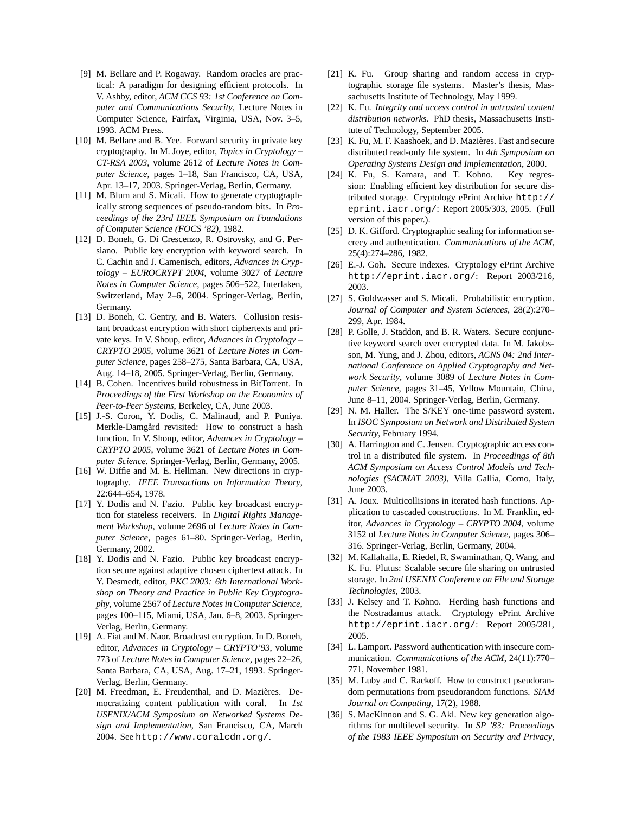- [9] M. Bellare and P. Rogaway. Random oracles are practical: A paradigm for designing efficient protocols. In V. Ashby, editor, *ACM CCS 93: 1st Conference on Computer and Communications Security*, Lecture Notes in Computer Science, Fairfax, Virginia, USA, Nov. 3–5, 1993. ACM Press.
- [10] M. Bellare and B. Yee. Forward security in private key cryptography. In M. Joye, editor, *Topics in Cryptology – CT-RSA 2003*, volume 2612 of *Lecture Notes in Computer Science*, pages 1–18, San Francisco, CA, USA, Apr. 13–17, 2003. Springer-Verlag, Berlin, Germany.
- [11] M. Blum and S. Micali. How to generate cryptographically strong sequences of pseudo-random bits. In *Proceedings of the 23rd IEEE Symposium on Foundations of Computer Science (FOCS '82)*, 1982.
- [12] D. Boneh, G. Di Crescenzo, R. Ostrovsky, and G. Persiano. Public key encryption with keyword search. In C. Cachin and J. Camenisch, editors, *Advances in Cryptology – EUROCRYPT 2004*, volume 3027 of *Lecture Notes in Computer Science*, pages 506–522, Interlaken, Switzerland, May 2–6, 2004. Springer-Verlag, Berlin, Germany.
- [13] D. Boneh, C. Gentry, and B. Waters. Collusion resistant broadcast encryption with short ciphertexts and private keys. In V. Shoup, editor, *Advances in Cryptology – CRYPTO 2005*, volume 3621 of *Lecture Notes in Computer Science*, pages 258–275, Santa Barbara, CA, USA, Aug. 14–18, 2005. Springer-Verlag, Berlin, Germany.
- [14] B. Cohen. Incentives build robustness in BitTorrent. In *Proceedings of the First Workshop on the Economics of Peer-to-Peer Systems*, Berkeley, CA, June 2003.
- [15] J.-S. Coron, Y. Dodis, C. Malinaud, and P. Puniya. Merkle-Damgård revisited: How to construct a hash function. In V. Shoup, editor, *Advances in Cryptology – CRYPTO 2005*, volume 3621 of *Lecture Notes in Computer Science*. Springer-Verlag, Berlin, Germany, 2005.
- [16] W. Diffie and M. E. Hellman. New directions in cryptography. *IEEE Transactions on Information Theory*, 22:644–654, 1978.
- [17] Y. Dodis and N. Fazio. Public key broadcast encryption for stateless receivers. In *Digital Rights Management Workshop*, volume 2696 of *Lecture Notes in Computer Science*, pages 61–80. Springer-Verlag, Berlin, Germany, 2002.
- [18] Y. Dodis and N. Fazio. Public key broadcast encryption secure against adaptive chosen ciphertext attack. In Y. Desmedt, editor, *PKC 2003: 6th International Workshop on Theory and Practice in Public Key Cryptography*, volume 2567 of *Lecture Notes in Computer Science*, pages 100–115, Miami, USA, Jan. 6–8, 2003. Springer-Verlag, Berlin, Germany.
- [19] A. Fiat and M. Naor. Broadcast encryption. In D. Boneh, editor, *Advances in Cryptology – CRYPTO'93*, volume 773 of *Lecture Notes in Computer Science*, pages 22–26, Santa Barbara, CA, USA, Aug. 17–21, 1993. Springer-Verlag, Berlin, Germany.
- [20] M. Freedman, E. Freudenthal, and D. Mazières. Democratizing content publication with coral. In *1st USENIX/ACM Symposium on Networked Systems Design and Implementation*, San Francisco, CA, March 2004. See http://www.coralcdn.org/.
- [21] K. Fu. Group sharing and random access in cryptographic storage file systems. Master's thesis, Massachusetts Institute of Technology, May 1999.
- [22] K. Fu. *Integrity and access control in untrusted content distribution networks*. PhD thesis, Massachusetts Institute of Technology, September 2005.
- [23] K. Fu, M. F. Kaashoek, and D. Mazières. Fast and secure distributed read-only file system. In *4th Symposium on Operating Systems Design and Implementation*, 2000.
- [24] K. Fu, S. Kamara, and T. Kohno. Key regression: Enabling efficient key distribution for secure distributed storage. Cryptology ePrint Archive http:// eprint.iacr.org/: Report 2005/303, 2005. (Full version of this paper.).
- [25] D. K. Gifford. Cryptographic sealing for information secrecy and authentication. *Communications of the ACM*, 25(4):274–286, 1982.
- [26] E.-J. Goh. Secure indexes. Cryptology ePrint Archive http://eprint.iacr.org/: Report 2003/216, 2003.
- [27] S. Goldwasser and S. Micali. Probabilistic encryption. *Journal of Computer and System Sciences*, 28(2):270– 299, Apr. 1984.
- [28] P. Golle, J. Staddon, and B. R. Waters. Secure conjunctive keyword search over encrypted data. In M. Jakobsson, M. Yung, and J. Zhou, editors, *ACNS 04: 2nd International Conference on Applied Cryptography and Network Security*, volume 3089 of *Lecture Notes in Computer Science*, pages 31–45, Yellow Mountain, China, June 8–11, 2004. Springer-Verlag, Berlin, Germany.
- [29] N. M. Haller. The S/KEY one-time password system. In *ISOC Symposium on Network and Distributed System Security*, February 1994.
- [30] A. Harrington and C. Jensen. Cryptographic access control in a distributed file system. In *Proceedings of 8th ACM Symposium on Access Control Models and Technologies (SACMAT 2003)*, Villa Gallia, Como, Italy, June 2003.
- [31] A. Joux. Multicollisions in iterated hash functions. Application to cascaded constructions. In M. Franklin, editor, *Advances in Cryptology – CRYPTO 2004*, volume 3152 of *Lecture Notes in Computer Science*, pages 306– 316. Springer-Verlag, Berlin, Germany, 2004.
- [32] M. Kallahalla, E. Riedel, R. Swaminathan, Q. Wang, and K. Fu. Plutus: Scalable secure file sharing on untrusted storage. In *2nd USENIX Conference on File and Storage Technologies*, 2003.
- [33] J. Kelsey and T. Kohno. Herding hash functions and the Nostradamus attack. Cryptology ePrint Archive http://eprint.iacr.org/: Report 2005/281, 2005.
- [34] L. Lamport. Password authentication with insecure communication. *Communications of the ACM*, 24(11):770– 771, November 1981.
- [35] M. Luby and C. Rackoff. How to construct pseudorandom permutations from pseudorandom functions. *SIAM Journal on Computing*, 17(2), 1988.
- [36] S. MacKinnon and S. G. Akl. New key generation algorithms for multilevel security. In *SP '83: Proceedings of the 1983 IEEE Symposium on Security and Privacy*,